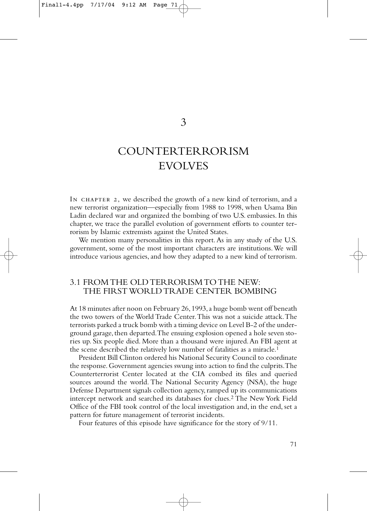3

# COUNTERTERRORISM EVOLVES

IN CHAPTER 2, we described the growth of a new kind of terrorism, and a new terrorist organization—especially from 1988 to 1998, when Usama Bin Ladin declared war and organized the bombing of two U.S. embassies. In this chapter, we trace the parallel evolution of government efforts to counter terrorism by Islamic extremists against the United States.

We mention many personalities in this report.As in any study of the U.S. government, some of the most important characters are institutions.We will introduce various agencies, and how they adapted to a new kind of terrorism.

# 3.1 FROM THE OLD TERRORISM TO THE NEW: THE FIRST WORLD TRADE CENTER BOMBING

At 18 minutes after noon on February 26,1993,a huge bomb went off beneath the two towers of the World Trade Center.This was not a suicide attack.The terrorists parked a truck bomb with a timing device on Level B-2 of the underground garage, then departed. The ensuing explosion opened a hole seven stories up. Six people died. More than a thousand were injured.An FBI agent at the scene described the relatively low number of fatalities as a miracle.1

President Bill Clinton ordered his National Security Council to coordinate the response. Government agencies swung into action to find the culprits.The Counterterrorist Center located at the CIA combed its files and queried sources around the world. The National Security Agency (NSA), the huge Defense Department signals collection agency, ramped up its communications intercept network and searched its databases for clues.2 The New York Field Office of the FBI took control of the local investigation and, in the end, set a pattern for future management of terrorist incidents.

Four features of this episode have significance for the story of 9/11.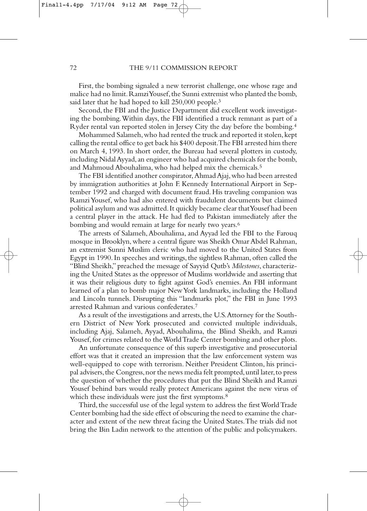First, the bombing signaled a new terrorist challenge, one whose rage and malice had no limit. Ramzi Yousef, the Sunni extremist who planted the bomb, said later that he had hoped to kill 250,000 people.<sup>3</sup>

Second, the FBI and the Justice Department did excellent work investigating the bombing.Within days, the FBI identified a truck remnant as part of a Ryder rental van reported stolen in Jersey City the day before the bombing.4

Mohammed Salameh, who had rented the truck and reported it stolen, kept calling the rental office to get back his \$400 deposit.The FBI arrested him there on March 4, 1993. In short order, the Bureau had several plotters in custody, including Nidal Ayyad, an engineer who had acquired chemicals for the bomb, and Mahmoud Abouhalima, who had helped mix the chemicals.5

The FBI identified another conspirator,Ahmad Ajaj,who had been arrested by immigration authorities at John F. Kennedy International Airport in September 1992 and charged with document fraud. His traveling companion was Ramzi Yousef, who had also entered with fraudulent documents but claimed political asylum and was admitted.It quickly became clear that Yousef had been a central player in the attack. He had fled to Pakistan immediately after the bombing and would remain at large for nearly two years.<sup>6</sup>

The arrests of Salameh, Abouhalima, and Ayyad led the FBI to the Farouq mosque in Brooklyn, where a central figure was Sheikh Omar Abdel Rahman, an extremist Sunni Muslim cleric who had moved to the United States from Egypt in 1990. In speeches and writings, the sightless Rahman, often called the "Blind Sheikh," preached the message of Sayyid Qutb's *Milestones*, characterizing the United States as the oppressor of Muslims worldwide and asserting that it was their religious duty to fight against God's enemies. An FBI informant learned of a plan to bomb major New York landmarks, including the Holland and Lincoln tunnels. Disrupting this "landmarks plot," the FBI in June 1993 arrested Rahman and various confederates.7

As a result of the investigations and arrests, the U.S. Attorney for the Southern District of New York prosecuted and convicted multiple individuals, including Ajaj, Salameh, Ayyad, Abouhalima, the Blind Sheikh, and Ramzi Yousef, for crimes related to the World Trade Center bombing and other plots.

An unfortunate consequence of this superb investigative and prosecutorial effort was that it created an impression that the law enforcement system was well-equipped to cope with terrorism. Neither President Clinton, his principal advisers, the Congress, nor the news media felt prompted, until later, to press the question of whether the procedures that put the Blind Sheikh and Ramzi Yousef behind bars would really protect Americans against the new virus of which these individuals were just the first symptoms.<sup>8</sup>

Third, the successful use of the legal system to address the first World Trade Center bombing had the side effect of obscuring the need to examine the character and extent of the new threat facing the United States.The trials did not bring the Bin Ladin network to the attention of the public and policymakers.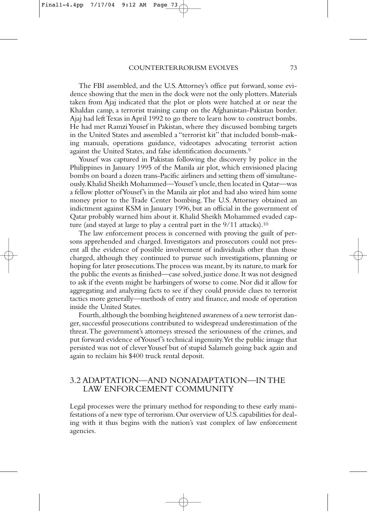The FBI assembled, and the U.S. Attorney's office put forward, some evidence showing that the men in the dock were not the only plotters. Materials taken from Ajaj indicated that the plot or plots were hatched at or near the Khaldan camp, a terrorist training camp on the Afghanistan-Pakistan border. Ajaj had left Texas in April 1992 to go there to learn how to construct bombs. He had met Ramzi Yousef in Pakistan, where they discussed bombing targets in the United States and assembled a "terrorist kit" that included bomb-making manuals, operations guidance, videotapes advocating terrorist action against the United States, and false identification documents.<sup>9</sup>

Yousef was captured in Pakistan following the discovery by police in the Philippines in January 1995 of the Manila air plot, which envisioned placing bombs on board a dozen trans-Pacific airliners and setting them off simultaneously.Khalid Sheikh Mohammed—Yousef's uncle,then located in Qatar—was a fellow plotter of Yousef's in the Manila air plot and had also wired him some money prior to the Trade Center bombing. The U.S. Attorney obtained an indictment against KSM in January 1996, but an official in the government of Qatar probably warned him about it. Khalid Sheikh Mohammed evaded capture (and stayed at large to play a central part in the 9/11 attacks).10

The law enforcement process is concerned with proving the guilt of persons apprehended and charged. Investigators and prosecutors could not present all the evidence of possible involvement of individuals other than those charged, although they continued to pursue such investigations, planning or hoping for later prosecutions. The process was meant, by its nature, to mark for the public the events as finished—case solved, justice done. It was not designed to ask if the events might be harbingers of worse to come. Nor did it allow for aggregating and analyzing facts to see if they could provide clues to terrorist tactics more generally—methods of entry and finance, and mode of operation inside the United States.

Fourth,although the bombing heightened awareness of a new terrorist danger, successful prosecutions contributed to widespread underestimation of the threat.The government's attorneys stressed the seriousness of the crimes, and put forward evidence of Yousef's technical ingenuity.Yet the public image that persisted was not of clever Yousef but of stupid Salameh going back again and again to reclaim his \$400 truck rental deposit.

# 3.2 ADAPTATION—AND NONADAPTATION—IN THE LAW ENFORCEMENT COMMUNITY

Legal processes were the primary method for responding to these early manifestations of a new type of terrorism.Our overview of U.S.capabilities for dealing with it thus begins with the nation's vast complex of law enforcement agencies.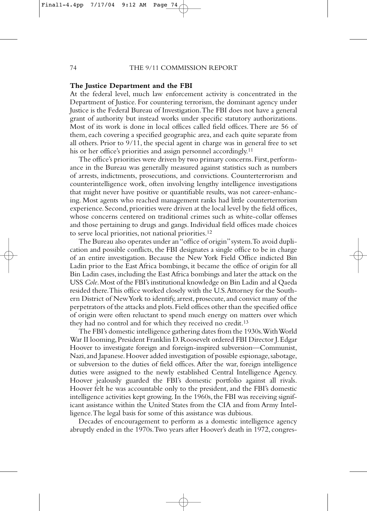#### **The Justice Department and the FBI**

At the federal level, much law enforcement activity is concentrated in the Department of Justice. For countering terrorism, the dominant agency under Justice is the Federal Bureau of Investigation.The FBI does not have a general grant of authority but instead works under specific statutory authorizations. Most of its work is done in local offices called field offices.There are 56 of them, each covering a specified geographic area, and each quite separate from all others. Prior to 9/11, the special agent in charge was in general free to set his or her office's priorities and assign personnel accordingly.11

The office's priorities were driven by two primary concerns. First, performance in the Bureau was generally measured against statistics such as numbers of arrests, indictments, prosecutions, and convictions. Counterterrorism and counterintelligence work, often involving lengthy intelligence investigations that might never have positive or quantifiable results, was not career-enhancing. Most agents who reached management ranks had little counterterrorism experience. Second, priorities were driven at the local level by the field offices, whose concerns centered on traditional crimes such as white-collar offenses and those pertaining to drugs and gangs. Individual field offices made choices to serve local priorities, not national priorities.12

The Bureau also operates under an "office of origin"system.To avoid duplication and possible conflicts, the FBI designates a single office to be in charge of an entire investigation. Because the New York Field Office indicted Bin Ladin prior to the East Africa bombings, it became the office of origin for all Bin Ladin cases,including the East Africa bombings and later the attack on the USS *Cole*.Most of the FBI's institutional knowledge on Bin Ladin and al Qaeda resided there.This office worked closely with the U.S.Attorney for the Southern District of New York to identify, arrest, prosecute, and convict many of the perpetrators of the attacks and plots.Field offices other than the specified office of origin were often reluctant to spend much energy on matters over which they had no control and for which they received no credit.13

The FBI's domestic intelligence gathering dates from the 1930s.With World War II looming,President Franklin D.Roosevelt ordered FBI Director J.Edgar Hoover to investigate foreign and foreign-inspired subversion—Communist, Nazi, and Japanese. Hoover added investigation of possible espionage, sabotage, or subversion to the duties of field offices. After the war, foreign intelligence duties were assigned to the newly established Central Intelligence Agency. Hoover jealously guarded the FBI's domestic portfolio against all rivals. Hoover felt he was accountable only to the president, and the FBI's domestic intelligence activities kept growing. In the 1960s, the FBI was receiving significant assistance within the United States from the CIA and from Army Intelligence.The legal basis for some of this assistance was dubious.

Decades of encouragement to perform as a domestic intelligence agency abruptly ended in the 1970s.Two years after Hoover's death in 1972, congres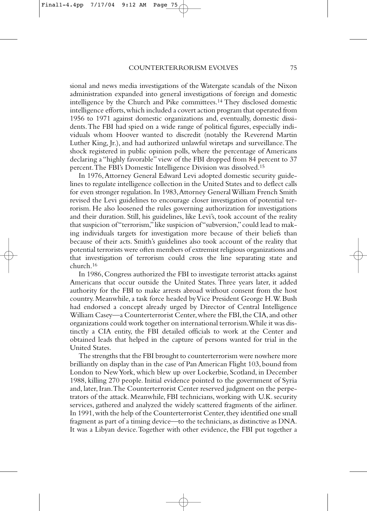sional and news media investigations of the Watergate scandals of the Nixon administration expanded into general investigations of foreign and domestic intelligence by the Church and Pike committees.14 They disclosed domestic intelligence efforts,which included a covert action program that operated from 1956 to 1971 against domestic organizations and, eventually, domestic dissidents.The FBI had spied on a wide range of political figures, especially individuals whom Hoover wanted to discredit (notably the Reverend Martin Luther King, Jr.), and had authorized unlawful wiretaps and surveillance.The shock registered in public opinion polls, where the percentage of Americans declaring a "highly favorable" view of the FBI dropped from 84 percent to 37 percent.The FBI's Domestic Intelligence Division was dissolved.15

In 1976,Attorney General Edward Levi adopted domestic security guidelines to regulate intelligence collection in the United States and to deflect calls for even stronger regulation. In 1983,Attorney General William French Smith revised the Levi guidelines to encourage closer investigation of potential terrorism. He also loosened the rules governing authorization for investigations and their duration. Still, his guidelines, like Levi's, took account of the reality that suspicion of "terrorism,"like suspicion of "subversion,"could lead to making individuals targets for investigation more because of their beliefs than because of their acts. Smith's guidelines also took account of the reality that potential terrorists were often members of extremist religious organizations and that investigation of terrorism could cross the line separating state and church.16

In 1986, Congress authorized the FBI to investigate terrorist attacks against Americans that occur outside the United States. Three years later, it added authority for the FBI to make arrests abroad without consent from the host country. Meanwhile, a task force headed by Vice President George H.W. Bush had endorsed a concept already urged by Director of Central Intelligence William Casey—a Counterterrorist Center, where the FBI, the CIA, and other organizations could work together on international terrorism.While it was distinctly a CIA entity, the FBI detailed officials to work at the Center and obtained leads that helped in the capture of persons wanted for trial in the United States.

The strengths that the FBI brought to counterterrorism were nowhere more brilliantly on display than in the case of Pan American Flight 103, bound from London to New York, which blew up over Lockerbie, Scotland, in December 1988, killing 270 people. Initial evidence pointed to the government of Syria and, later, Iran.The Counterterrorist Center reserved judgment on the perpetrators of the attack. Meanwhile, FBI technicians, working with U.K. security services, gathered and analyzed the widely scattered fragments of the airliner. In 1991, with the help of the Counterterrorist Center, they identified one small fragment as part of a timing device—to the technicians, as distinctive as DNA. It was a Libyan device.Together with other evidence, the FBI put together a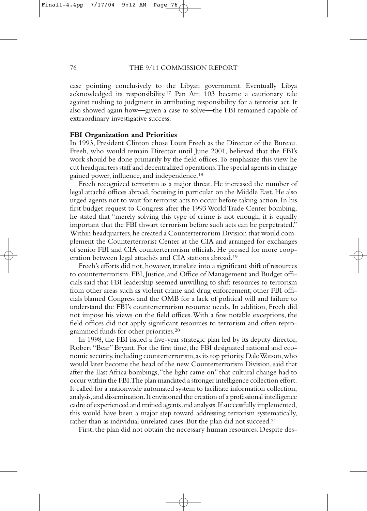case pointing conclusively to the Libyan government. Eventually Libya acknowledged its responsibility.17 Pan Am 103 became a cautionary tale against rushing to judgment in attributing responsibility for a terrorist act. It also showed again how—given a case to solve—the FBI remained capable of extraordinary investigative success.

#### **FBI Organization and Priorities**

In 1993, President Clinton chose Louis Freeh as the Director of the Bureau. Freeh, who would remain Director until June 2001, believed that the FBI's work should be done primarily by the field offices.To emphasize this view he cut headquarters staff and decentralized operations.The special agents in charge gained power, influence, and independence.18

Freeh recognized terrorism as a major threat. He increased the number of legal attaché offices abroad, focusing in particular on the Middle East. He also urged agents not to wait for terrorist acts to occur before taking action. In his first budget request to Congress after the 1993 World Trade Center bombing, he stated that "merely solving this type of crime is not enough; it is equally important that the FBI thwart terrorism before such acts can be perpetrated." Within headquarters, he created a Counterterrorism Division that would complement the Counterterrorist Center at the CIA and arranged for exchanges of senior FBI and CIA counterterrorism officials. He pressed for more cooperation between legal attachés and CIA stations abroad.19

Freeh's efforts did not, however, translate into a significant shift of resources to counterterrorism. FBI, Justice, and Office of Management and Budget officials said that FBI leadership seemed unwilling to shift resources to terrorism from other areas such as violent crime and drug enforcement; other FBI officials blamed Congress and the OMB for a lack of political will and failure to understand the FBI's counterterrorism resource needs. In addition, Freeh did not impose his views on the field offices.With a few notable exceptions, the field offices did not apply significant resources to terrorism and often reprogrammed funds for other priorities.20

In 1998, the FBI issued a five-year strategic plan led by its deputy director, Robert "Bear" Bryant. For the first time, the FBI designated national and economic security,including counterterrorism,as its top priority.Dale Watson,who would later become the head of the new Counterterrorism Division, said that after the East Africa bombings,"the light came on" that cultural change had to occur within the FBI.The plan mandated a stronger intelligence collection effort. It called for a nationwide automated system to facilitate information collection, analysis,and dissemination.It envisioned the creation of a professional intelligence cadre of experienced and trained agents and analysts.If successfully implemented, this would have been a major step toward addressing terrorism systematically, rather than as individual unrelated cases. But the plan did not succeed.21

First, the plan did not obtain the necessary human resources. Despite des-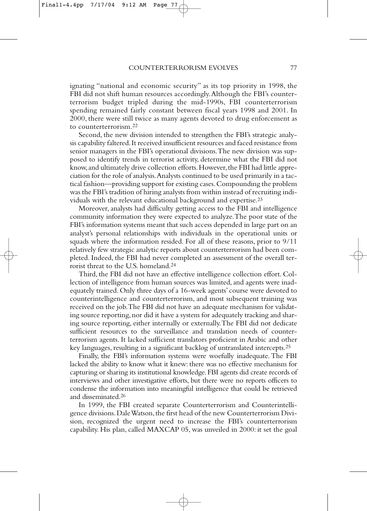ignating "national and economic security" as its top priority in 1998, the FBI did not shift human resources accordingly.Although the FBI's counterterrorism budget tripled during the mid-1990s, FBI counterterrorism spending remained fairly constant between fiscal years 1998 and 2001. In 2000, there were still twice as many agents devoted to drug enforcement as to counterterrorism.22

Second, the new division intended to strengthen the FBI's strategic analysis capability faltered.It received insufficient resources and faced resistance from senior managers in the FBI's operational divisions.The new division was supposed to identify trends in terrorist activity, determine what the FBI did not know,and ultimately drive collection efforts.However,the FBI had little appreciation for the role of analysis.Analysts continued to be used primarily in a tactical fashion—providing support for existing cases.Compounding the problem was the FBI's tradition of hiring analysts from within instead of recruiting individuals with the relevant educational background and expertise.23

Moreover, analysts had difficulty getting access to the FBI and intelligence community information they were expected to analyze.The poor state of the FBI's information systems meant that such access depended in large part on an analyst's personal relationships with individuals in the operational units or squads where the information resided. For all of these reasons, prior to 9/11 relatively few strategic analytic reports about counterterrorism had been completed. Indeed, the FBI had never completed an assessment of the overall terrorist threat to the U.S. homeland.24

Third, the FBI did not have an effective intelligence collection effort. Collection of intelligence from human sources was limited, and agents were inadequately trained. Only three days of a 16-week agents' course were devoted to counterintelligence and counterterrorism, and most subsequent training was received on the job.The FBI did not have an adequate mechanism for validating source reporting, nor did it have a system for adequately tracking and sharing source reporting, either internally or externally.The FBI did not dedicate sufficient resources to the surveillance and translation needs of counterterrorism agents. It lacked sufficient translators proficient in Arabic and other key languages, resulting in a significant backlog of untranslated intercepts.25

Finally, the FBI's information systems were woefully inadequate. The FBI lacked the ability to know what it knew: there was no effective mechanism for capturing or sharing its institutional knowledge.FBI agents did create records of interviews and other investigative efforts, but there were no reports officers to condense the information into meaningful intelligence that could be retrieved and disseminated.26

In 1999, the FBI created separate Counterterrorism and Counterintelligence divisions. Dale Watson, the first head of the new Counterterrorism Division, recognized the urgent need to increase the FBI's counterterrorism capability. His plan, called MAXCAP 05, was unveiled in 2000: it set the goal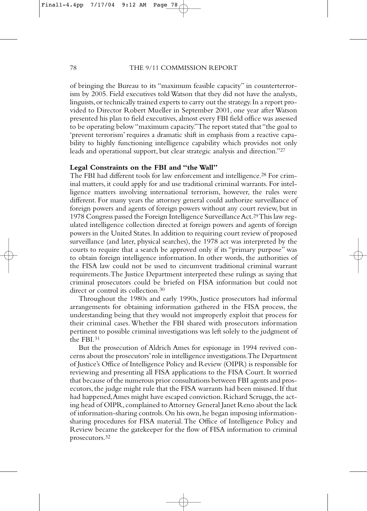of bringing the Bureau to its "maximum feasible capacity" in counterterrorism by 2005. Field executives told Watson that they did not have the analysts, linguists,or technically trained experts to carry out the strategy.In a report provided to Director Robert Mueller in September 2001, one year after Watson presented his plan to field executives,almost every FBI field office was assessed to be operating below "maximum capacity."The report stated that "the goal to 'prevent terrorism' requires a dramatic shift in emphasis from a reactive capability to highly functioning intelligence capability which provides not only leads and operational support, but clear strategic analysis and direction."27

### **Legal Constraints on the FBI and "the Wall"**

The FBI had different tools for law enforcement and intelligence.<sup>28</sup> For criminal matters, it could apply for and use traditional criminal warrants. For intelligence matters involving international terrorism, however, the rules were different. For many years the attorney general could authorize surveillance of foreign powers and agents of foreign powers without any court review, but in 1978 Congress passed the Foreign Intelligence Surveillance Act.29This law regulated intelligence collection directed at foreign powers and agents of foreign powers in the United States.In addition to requiring court review of proposed surveillance (and later, physical searches), the 1978 act was interpreted by the courts to require that a search be approved only if its "primary purpose" was to obtain foreign intelligence information. In other words, the authorities of the FISA law could not be used to circumvent traditional criminal warrant requirements.The Justice Department interpreted these rulings as saying that criminal prosecutors could be briefed on FISA information but could not direct or control its collection.30

Throughout the 1980s and early 1990s, Justice prosecutors had informal arrangements for obtaining information gathered in the FISA process, the understanding being that they would not improperly exploit that process for their criminal cases. Whether the FBI shared with prosecutors information pertinent to possible criminal investigations was left solely to the judgment of the FBI.31

But the prosecution of Aldrich Ames for espionage in 1994 revived concerns about the prosecutors'role in intelligence investigations.The Department of Justice's Office of Intelligence Policy and Review (OIPR) is responsible for reviewing and presenting all FISA applications to the FISA Court. It worried that because of the numerous prior consultations between FBI agents and prosecutors, the judge might rule that the FISA warrants had been misused. If that had happened, Ames might have escaped conviction. Richard Scruggs, the acting head of OIPR, complained to Attorney General Janet Reno about the lack of information-sharing controls. On his own, he began imposing informationsharing procedures for FISA material.The Office of Intelligence Policy and Review became the gatekeeper for the flow of FISA information to criminal prosecutors.32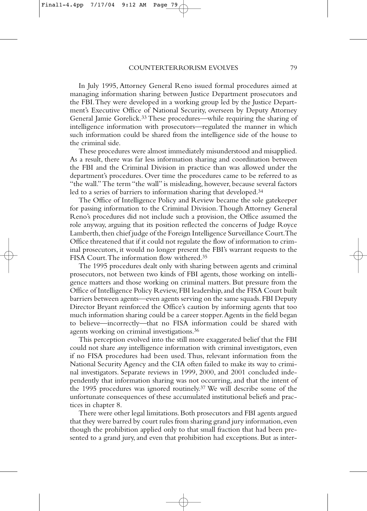In July 1995, Attorney General Reno issued formal procedures aimed at managing information sharing between Justice Department prosecutors and the FBI.They were developed in a working group led by the Justice Department's Executive Office of National Security, overseen by Deputy Attorney General Jamie Gorelick.33 These procedures—while requiring the sharing of intelligence information with prosecutors—regulated the manner in which such information could be shared from the intelligence side of the house to the criminal side.

These procedures were almost immediately misunderstood and misapplied. As a result, there was far less information sharing and coordination between the FBI and the Criminal Division in practice than was allowed under the department's procedures. Over time the procedures came to be referred to as "the wall." The term "the wall" is misleading, however, because several factors led to a series of barriers to information sharing that developed.34

The Office of Intelligence Policy and Review became the sole gatekeeper for passing information to the Criminal Division.Though Attorney General Reno's procedures did not include such a provision, the Office assumed the role anyway, arguing that its position reflected the concerns of Judge Royce Lamberth, then chief judge of the Foreign Intelligence Surveillance Court. The Office threatened that if it could not regulate the flow of information to criminal prosecutors, it would no longer present the FBI's warrant requests to the FISA Court.The information flow withered.35

The 1995 procedures dealt only with sharing between agents and criminal prosecutors, not between two kinds of FBI agents, those working on intelligence matters and those working on criminal matters. But pressure from the Office of Intelligence Policy Review,FBI leadership,and the FISA Court built barriers between agents—even agents serving on the same squads.FBI Deputy Director Bryant reinforced the Office's caution by informing agents that too much information sharing could be a career stopper.Agents in the field began to believe—incorrectly—that no FISA information could be shared with agents working on criminal investigations.36

This perception evolved into the still more exaggerated belief that the FBI could not share *any* intelligence information with criminal investigators, even if no FISA procedures had been used. Thus, relevant information from the National Security Agency and the CIA often failed to make its way to criminal investigators. Separate reviews in 1999, 2000, and 2001 concluded independently that information sharing was not occurring, and that the intent of the 1995 procedures was ignored routinely.37 We will describe some of the unfortunate consequences of these accumulated institutional beliefs and practices in chapter 8.

There were other legal limitations.Both prosecutors and FBI agents argued that they were barred by court rules from sharing grand jury information, even though the prohibition applied only to that small fraction that had been presented to a grand jury, and even that prohibition had exceptions. But as inter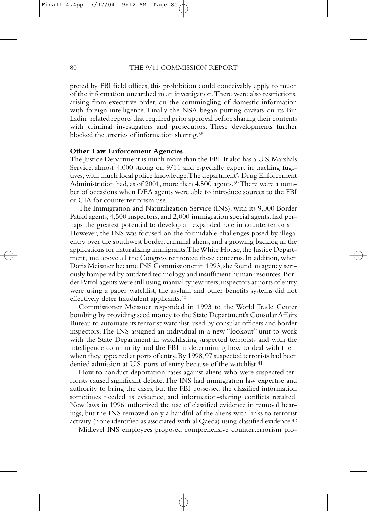preted by FBI field offices, this prohibition could conceivably apply to much of the information unearthed in an investigation.There were also restrictions, arising from executive order, on the commingling of domestic information with foreign intelligence. Finally the NSA began putting caveats on its Bin Ladin–related reports that required prior approval before sharing their contents with criminal investigators and prosecutors. These developments further blocked the arteries of information sharing.38

## **Other Law Enforcement Agencies**

The Justice Department is much more than the FBI. It also has a U.S. Marshals Service, almost 4,000 strong on 9/11 and especially expert in tracking fugitives, with much local police knowledge. The department's Drug Enforcement Administration had, as of 2001, more than 4,500 agents.<sup>39</sup> There were a number of occasions when DEA agents were able to introduce sources to the FBI or CIA for counterterrorism use.

The Immigration and Naturalization Service (INS), with its 9,000 Border Patrol agents, 4,500 inspectors, and 2,000 immigration special agents, had perhaps the greatest potential to develop an expanded role in counterterrorism. However, the INS was focused on the formidable challenges posed by illegal entry over the southwest border, criminal aliens, and a growing backlog in the applications for naturalizing immigrants.The White House,the Justice Department, and above all the Congress reinforced these concerns. In addition, when Doris Meissner became INS Commissioner in 1993, she found an agency seriously hampered by outdated technology and insufficient human resources.Border Patrol agents were still using manual typewriters;inspectors at ports of entry were using a paper watchlist; the asylum and other benefits systems did not effectively deter fraudulent applicants.40

Commissioner Meissner responded in 1993 to the World Trade Center bombing by providing seed money to the State Department's Consular Affairs Bureau to automate its terrorist watchlist, used by consular officers and border inspectors.The INS assigned an individual in a new "lookout" unit to work with the State Department in watchlisting suspected terrorists and with the intelligence community and the FBI in determining how to deal with them when they appeared at ports of entry.By 1998,97 suspected terrorists had been denied admission at U.S. ports of entry because of the watchlist.<sup>41</sup>

How to conduct deportation cases against aliens who were suspected terrorists caused significant debate.The INS had immigration law expertise and authority to bring the cases, but the FBI possessed the classified information sometimes needed as evidence, and information-sharing conflicts resulted. New laws in 1996 authorized the use of classified evidence in removal hearings, but the INS removed only a handful of the aliens with links to terrorist activity (none identified as associated with al Qaeda) using classified evidence.<sup>42</sup>

Midlevel INS employees proposed comprehensive counterterrorism pro-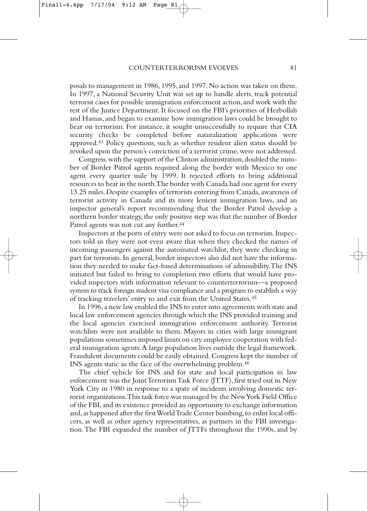posals to management in 1986, 1995, and 1997. No action was taken on them. In 1997, a National Security Unit was set up to handle alerts, track potential terrorist cases for possible immigration enforcement action,and work with the rest of the Justice Department. It focused on the FBI's priorities of Hezbollah and Hamas, and began to examine how immigration laws could be brought to bear on terrorism. For instance, it sought unsuccessfully to require that CIA security checks be completed before naturalization applications were approved.43 Policy questions, such as whether resident alien status should be revoked upon the person's conviction of a terrorist crime, were not addressed.

Congress, with the support of the Clinton administration, doubled the number of Border Patrol agents required along the border with Mexico to one agent every quarter mile by 1999. It rejected efforts to bring additional resources to bear in the north.The border with Canada had one agent for every 13.25 miles.Despite examples of terrorists entering from Canada,awareness of terrorist activity in Canada and its more lenient immigration laws, and an inspector general's report recommending that the Border Patrol develop a northern border strategy, the only positive step was that the number of Border Patrol agents was not cut any further.<sup>44</sup>

Inspectors at the ports of entry were not asked to focus on terrorists.Inspectors told us they were not even aware that when they checked the names of incoming passengers against the automated watchlist, they were checking in part for terrorists. In general, border inspectors also did not have the information they needed to make fact-based determinations of admissibility.The INS initiated but failed to bring to completion two efforts that would have provided inspectors with information relevant to counterterrorism—a proposed system to track foreign student visa compliance and a program to establish a way of tracking travelers' entry to and exit from the United States.45

In 1996, a new law enabled the INS to enter into agreements with state and local law enforcement agencies through which the INS provided training and the local agencies exercised immigration enforcement authority. Terrorist watchlists were not available to them. Mayors in cities with large immigrant populations sometimes imposed limits on city employee cooperation with federal immigration agents.A large population lives outside the legal framework. Fraudulent documents could be easily obtained. Congress kept the number of INS agents static in the face of the overwhelming problem.46

The chief vehicle for INS and for state and local participation in law enforcement was the Joint Terrorism Task Force (JTTF), first tried out in New York City in 1980 in response to a spate of incidents involving domestic terrorist organizations.This task force was managed by the New York Field Office of the FBI,and its existence provided an opportunity to exchange information and, as happened after the first World Trade Center bombing, to enlist local officers, as well as other agency representatives, as partners in the FBI investigation.The FBI expanded the number of JTTFs throughout the 1990s, and by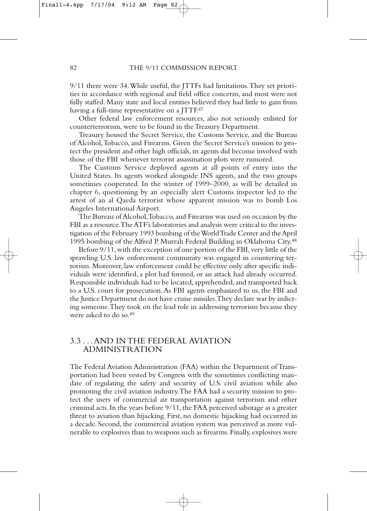9/11 there were 34.While useful, the JTTFs had limitations.They set priorities in accordance with regional and field office concerns, and most were not fully staffed. Many state and local entities believed they had little to gain from having a full-time representative on a JTTF.<sup>47</sup>

Other federal law enforcement resources, also not seriously enlisted for counterterrorism, were to be found in the Treasury Department.

Treasury housed the Secret Service, the Customs Service, and the Bureau of Alcohol,Tobacco, and Firearms. Given the Secret Service's mission to protect the president and other high officials, its agents did become involved with those of the FBI whenever terrorist assassination plots were rumored.

The Customs Service deployed agents at all points of entry into the United States. Its agents worked alongside INS agents, and the two groups sometimes cooperated. In the winter of 1999–2000, as will be detailed in chapter 6, questioning by an especially alert Customs inspector led to the arrest of an al Qaeda terrorist whose apparent mission was to bomb Los Angeles International Airport.

The Bureau of Alcohol,Tobacco, and Firearms was used on occasion by the FBI as a resource.The ATF's laboratories and analysis were critical to the investigation of the February 1993 bombing of the World Trade Center and the April 1995 bombing of the Alfred P. Murrah Federal Building in Oklahoma City.48

Before  $9/11$ , with the exception of one portion of the FBI, very little of the sprawling U.S. law enforcement community was engaged in countering terrorism. Moreover, law enforcement could be effective only after specific individuals were identified, a plot had formed, or an attack had already occurred. Responsible individuals had to be located, apprehended, and transported back to a U.S. court for prosecution.As FBI agents emphasized to us, the FBI and the Justice Department do not have cruise missiles.They declare war by indicting someone.They took on the lead role in addressing terrorism because they were asked to do so.49

## 3.3 . . .AND IN THE FEDERAL AVIATION ADMINISTRATION

The Federal Aviation Administration (FAA) within the Department of Transportation had been vested by Congress with the sometimes conflicting mandate of regulating the safety and security of U.S. civil aviation while also promoting the civil aviation industry.The FAA had a security mission to protect the users of commercial air transportation against terrorism and other criminal acts. In the years before 9/11, the FAA perceived sabotage as a greater threat to aviation than hijacking. First, no domestic hijacking had occurred in a decade. Second, the commercial aviation system was perceived as more vulnerable to explosives than to weapons such as firearms. Finally, explosives were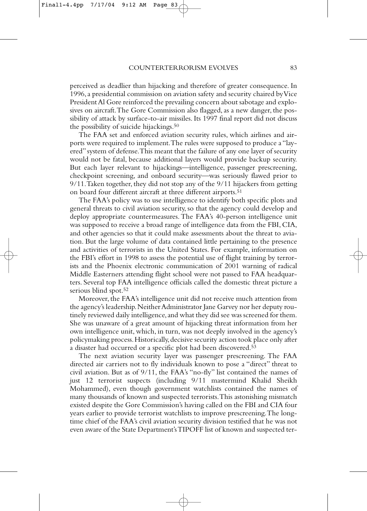perceived as deadlier than hijacking and therefore of greater consequence. In 1996,a presidential commission on aviation safety and security chaired by Vice President Al Gore reinforced the prevailing concern about sabotage and explosives on aircraft.The Gore Commission also flagged, as a new danger, the possibility of attack by surface-to-air missiles. Its 1997 final report did not discuss the possibility of suicide hijackings.50

The FAA set and enforced aviation security rules, which airlines and airports were required to implement.The rules were supposed to produce a "layered" system of defense. This meant that the failure of any one layer of security would not be fatal, because additional layers would provide backup security. But each layer relevant to hijackings—intelligence, passenger prescreening, checkpoint screening, and onboard security—was seriously flawed prior to 9/11.Taken together, they did not stop any of the 9/11 hijackers from getting on board four different aircraft at three different airports.<sup>51</sup>

The FAA's policy was to use intelligence to identify both specific plots and general threats to civil aviation security, so that the agency could develop and deploy appropriate countermeasures. The FAA's 40-person intelligence unit was supposed to receive a broad range of intelligence data from the FBI, CIA, and other agencies so that it could make assessments about the threat to aviation. But the large volume of data contained little pertaining to the presence and activities of terrorists in the United States. For example, information on the FBI's effort in 1998 to assess the potential use of flight training by terrorists and the Phoenix electronic communication of 2001 warning of radical Middle Easterners attending flight school were not passed to FAA headquarters. Several top FAA intelligence officials called the domestic threat picture a serious blind spot.52

Moreover, the FAA's intelligence unit did not receive much attention from the agency's leadership.Neither Administrator Jane Garvey nor her deputy routinely reviewed daily intelligence, and what they did see was screened for them. She was unaware of a great amount of hijacking threat information from her own intelligence unit, which, in turn, was not deeply involved in the agency's policymaking process.Historically,decisive security action took place only after a disaster had occurred or a specific plot had been discovered.53

The next aviation security layer was passenger prescreening. The FAA directed air carriers not to fly individuals known to pose a "direct" threat to civil aviation. But as of 9/11, the FAA's "no-fly" list contained the names of just 12 terrorist suspects (including 9/11 mastermind Khalid Sheikh Mohammed), even though government watchlists contained the names of many thousands of known and suspected terrorists.This astonishing mismatch existed despite the Gore Commission's having called on the FBI and CIA four years earlier to provide terrorist watchlists to improve prescreening.The longtime chief of the FAA's civil aviation security division testified that he was not even aware of the State Department's TIPOFF list of known and suspected ter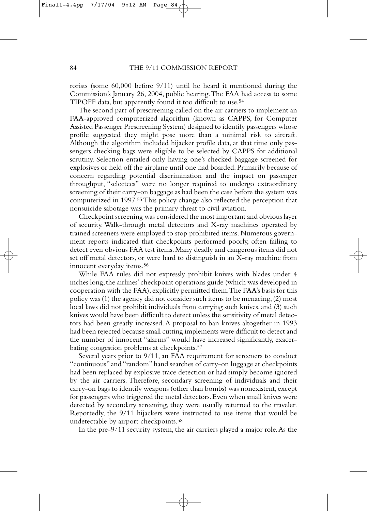rorists (some 60,000 before 9/11) until he heard it mentioned during the Commission's January 26, 2004, public hearing.The FAA had access to some TIPOFF data, but apparently found it too difficult to use.54

The second part of prescreening called on the air carriers to implement an FAA-approved computerized algorithm (known as CAPPS, for Computer Assisted Passenger Prescreening System) designed to identify passengers whose profile suggested they might pose more than a minimal risk to aircraft. Although the algorithm included hijacker profile data, at that time only passengers checking bags were eligible to be selected by CAPPS for additional scrutiny. Selection entailed only having one's checked baggage screened for explosives or held off the airplane until one had boarded. Primarily because of concern regarding potential discrimination and the impact on passenger throughput, "selectees" were no longer required to undergo extraordinary screening of their carry-on baggage as had been the case before the system was computerized in 1997.55This policy change also reflected the perception that nonsuicide sabotage was the primary threat to civil aviation.

Checkpoint screening was considered the most important and obvious layer of security. Walk-through metal detectors and X-ray machines operated by trained screeners were employed to stop prohibited items. Numerous government reports indicated that checkpoints performed poorly, often failing to detect even obvious FAA test items. Many deadly and dangerous items did not set off metal detectors, or were hard to distinguish in an X-ray machine from innocent everyday items.56

While FAA rules did not expressly prohibit knives with blades under 4 inches long, the airlines' checkpoint operations guide (which was developed in cooperation with the FAA), explicitly permitted them. The FAA's basis for this policy was (1) the agency did not consider such items to be menacing,(2) most local laws did not prohibit individuals from carrying such knives, and (3) such knives would have been difficult to detect unless the sensitivity of metal detectors had been greatly increased. A proposal to ban knives altogether in 1993 had been rejected because small cutting implements were difficult to detect and the number of innocent "alarms" would have increased significantly, exacerbating congestion problems at checkpoints.57

Several years prior to 9/11, an FAA requirement for screeners to conduct "continuous" and "random" hand searches of carry-on luggage at checkpoints had been replaced by explosive trace detection or had simply become ignored by the air carriers. Therefore, secondary screening of individuals and their carry-on bags to identify weapons (other than bombs) was nonexistent, except for passengers who triggered the metal detectors.Even when small knives were detected by secondary screening, they were usually returned to the traveler. Reportedly, the 9/11 hijackers were instructed to use items that would be undetectable by airport checkpoints.58

In the pre-9/11 security system, the air carriers played a major role.As the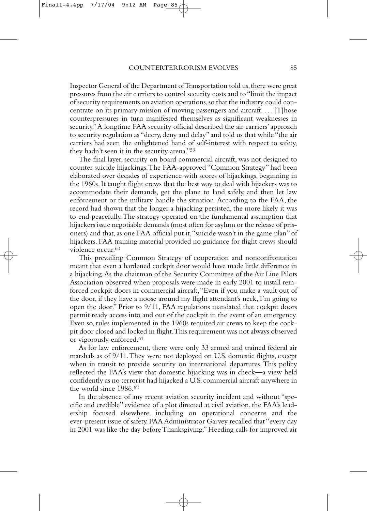Inspector General of the Department of Transportation told us, there were great pressures from the air carriers to control security costs and to "limit the impact of security requirements on aviation operations,so that the industry could concentrate on its primary mission of moving passengers and aircraft. . . . [T]hose counterpressures in turn manifested themselves as significant weaknesses in security."A longtime FAA security official described the air carriers' approach to security regulation as "decry, deny and delay" and told us that while "the air carriers had seen the enlightened hand of self-interest with respect to safety, they hadn't seen it in the security arena."59

The final layer, security on board commercial aircraft, was not designed to counter suicide hijackings.The FAA-approved "Common Strategy" had been elaborated over decades of experience with scores of hijackings, beginning in the 1960s. It taught flight crews that the best way to deal with hijackers was to accommodate their demands, get the plane to land safely, and then let law enforcement or the military handle the situation. According to the FAA, the record had shown that the longer a hijacking persisted, the more likely it was to end peacefully.The strategy operated on the fundamental assumption that hijackers issue negotiable demands (most often for asylum or the release of prisoners) and that, as one FAA official put it,"suicide wasn't in the game plan" of hijackers. FAA training material provided no guidance for flight crews should violence occur.<sup>60</sup>

This prevailing Common Strategy of cooperation and nonconfrontation meant that even a hardened cockpit door would have made little difference in a hijacking.As the chairman of the Security Committee of the Air Line Pilots Association observed when proposals were made in early 2001 to install reinforced cockpit doors in commercial aircraft,"Even if you make a vault out of the door, if they have a noose around my flight attendant's neck, I'm going to open the door." Prior to 9/11, FAA regulations mandated that cockpit doors permit ready access into and out of the cockpit in the event of an emergency. Even so, rules implemented in the 1960s required air crews to keep the cockpit door closed and locked in flight.This requirement was not always observed or vigorously enforced.61

As for law enforcement, there were only 33 armed and trained federal air marshals as of 9/11.They were not deployed on U.S. domestic flights, except when in transit to provide security on international departures. This policy reflected the FAA's view that domestic hijacking was in check—a view held confidently as no terrorist had hijacked a U.S.commercial aircraft anywhere in the world since 1986.62

In the absence of any recent aviation security incident and without "specific and credible" evidence of a plot directed at civil aviation, the FAA's leadership focused elsewhere, including on operational concerns and the ever-present issue of safety. FAA Administrator Garvey recalled that "every day in 2001 was like the day before Thanksgiving." Heeding calls for improved air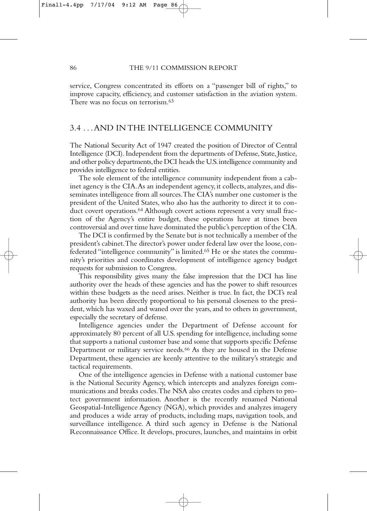service, Congress concentrated its efforts on a "passenger bill of rights," to improve capacity, efficiency, and customer satisfaction in the aviation system. There was no focus on terrorism.63

## 3.4 . . .AND IN THE INTELLIGENCE COMMUNITY

The National Security Act of 1947 created the position of Director of Central Intelligence (DCI). Independent from the departments of Defense, State, Justice, and other policy departments, the DCI heads the U.S. intelligence community and provides intelligence to federal entities.

The sole element of the intelligence community independent from a cabinet agency is the CIA.As an independent agency, it collects, analyzes, and disseminates intelligence from all sources.The CIA's number one customer is the president of the United States, who also has the authority to direct it to conduct covert operations.<sup>64</sup> Although covert actions represent a very small fraction of the Agency's entire budget, these operations have at times been controversial and over time have dominated the public's perception of the CIA.

The DCI is confirmed by the Senate but is not technically a member of the president's cabinet.The director's power under federal law over the loose, confederated "intelligence community" is limited.65 He or she states the community's priorities and coordinates development of intelligence agency budget requests for submission to Congress.

This responsibility gives many the false impression that the DCI has line authority over the heads of these agencies and has the power to shift resources within these budgets as the need arises. Neither is true. In fact, the DCI's real authority has been directly proportional to his personal closeness to the president, which has waxed and waned over the years, and to others in government, especially the secretary of defense.

Intelligence agencies under the Department of Defense account for approximately 80 percent of all U.S. spending for intelligence, including some that supports a national customer base and some that supports specific Defense Department or military service needs.66 As they are housed in the Defense Department, these agencies are keenly attentive to the military's strategic and tactical requirements.

One of the intelligence agencies in Defense with a national customer base is the National Security Agency, which intercepts and analyzes foreign communications and breaks codes.The NSA also creates codes and ciphers to protect government information. Another is the recently renamed National Geospatial-Intelligence Agency (NGA), which provides and analyzes imagery and produces a wide array of products, including maps, navigation tools, and surveillance intelligence. A third such agency in Defense is the National Reconnaissance Office. It develops, procures, launches, and maintains in orbit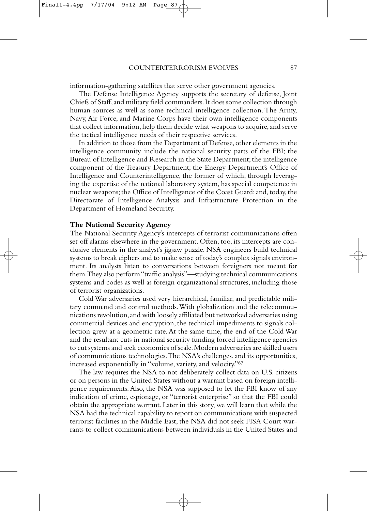information-gathering satellites that serve other government agencies.

The Defense Intelligence Agency supports the secretary of defense, Joint Chiefs of Staff,and military field commanders.It does some collection through human sources as well as some technical intelligence collection. The Army, Navy, Air Force, and Marine Corps have their own intelligence components that collect information, help them decide what weapons to acquire, and serve the tactical intelligence needs of their respective services.

In addition to those from the Department of Defense, other elements in the intelligence community include the national security parts of the FBI; the Bureau of Intelligence and Research in the State Department; the intelligence component of the Treasury Department; the Energy Department's Office of Intelligence and Counterintelligence, the former of which, through leveraging the expertise of the national laboratory system, has special competence in nuclear weapons; the Office of Intelligence of the Coast Guard; and, today, the Directorate of Intelligence Analysis and Infrastructure Protection in the Department of Homeland Security.

#### **The National Security Agency**

The National Security Agency's intercepts of terrorist communications often set off alarms elsewhere in the government. Often, too, its intercepts are conclusive elements in the analyst's jigsaw puzzle. NSA engineers build technical systems to break ciphers and to make sense of today's complex signals environment. Its analysts listen to conversations between foreigners not meant for them.They also perform "traffic analysis"—studying technical communications systems and codes as well as foreign organizational structures, including those of terrorist organizations.

Cold War adversaries used very hierarchical, familiar, and predictable military command and control methods.With globalization and the telecommunications revolution,and with loosely affiliated but networked adversaries using commercial devices and encryption, the technical impediments to signals collection grew at a geometric rate. At the same time, the end of the Cold War and the resultant cuts in national security funding forced intelligence agencies to cut systems and seek economies of scale.Modern adversaries are skilled users of communications technologies.The NSA's challenges, and its opportunities, increased exponentially in "volume, variety, and velocity."67

The law requires the NSA to not deliberately collect data on U.S. citizens or on persons in the United States without a warrant based on foreign intelligence requirements. Also, the NSA was supposed to let the FBI know of any indication of crime, espionage, or "terrorist enterprise" so that the FBI could obtain the appropriate warrant. Later in this story, we will learn that while the NSA had the technical capability to report on communications with suspected terrorist facilities in the Middle East, the NSA did not seek FISA Court warrants to collect communications between individuals in the United States and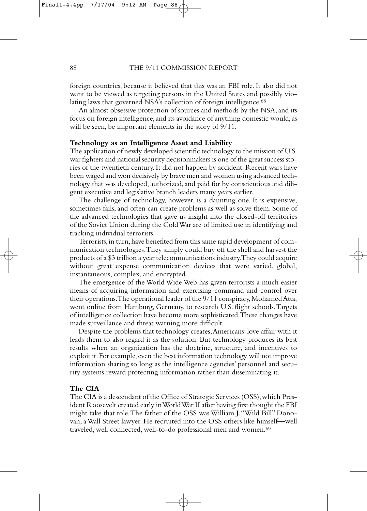foreign countries, because it believed that this was an FBI role. It also did not want to be viewed as targeting persons in the United States and possibly violating laws that governed NSA's collection of foreign intelligence.<sup>68</sup>

An almost obsessive protection of sources and methods by the NSA, and its focus on foreign intelligence, and its avoidance of anything domestic would, as will be seen, be important elements in the story of  $9/11$ .

#### **Technology as an Intelligence Asset and Liability**

The application of newly developed scientific technology to the mission of U.S. war fighters and national security decisionmakers is one of the great success stories of the twentieth century. It did not happen by accident. Recent wars have been waged and won decisively by brave men and women using advanced technology that was developed, authorized, and paid for by conscientious and diligent executive and legislative branch leaders many years earlier.

The challenge of technology, however, is a daunting one. It is expensive, sometimes fails, and often can create problems as well as solve them. Some of the advanced technologies that gave us insight into the closed-off territories of the Soviet Union during the Cold War are of limited use in identifying and tracking individual terrorists.

Terrorists, in turn, have benefited from this same rapid development of communication technologies.They simply could buy off the shelf and harvest the products of a \$3 trillion a year telecommunications industry.They could acquire without great expense communication devices that were varied, global, instantaneous, complex, and encrypted.

The emergence of the World Wide Web has given terrorists a much easier means of acquiring information and exercising command and control over their operations.The operational leader of the 9/11 conspiracy,Mohamed Atta, went online from Hamburg, Germany, to research U.S. flight schools.Targets of intelligence collection have become more sophisticated.These changes have made surveillance and threat warning more difficult.

Despite the problems that technology creates,Americans' love affair with it leads them to also regard it as the solution. But technology produces its best results when an organization has the doctrine, structure, and incentives to exploit it. For example, even the best information technology will not improve information sharing so long as the intelligence agencies' personnel and security systems reward protecting information rather than disseminating it.

## **The CIA**

The CIA is a descendant of the Office of Strategic Services (OSS), which President Roosevelt created early in World War II after having first thought the FBI might take that role.The father of the OSS was William J."Wild Bill" Donovan, a Wall Street lawyer. He recruited into the OSS others like himself—well traveled, well connected, well-to-do professional men and women.69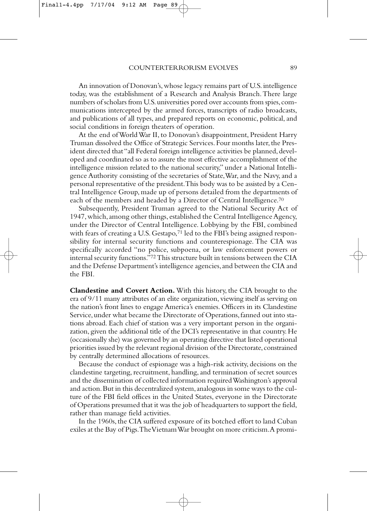An innovation of Donovan's, whose legacy remains part of U.S. intelligence today, was the establishment of a Research and Analysis Branch.There large numbers of scholars from U.S. universities pored over accounts from spies, communications intercepted by the armed forces, transcripts of radio broadcasts, and publications of all types, and prepared reports on economic, political, and social conditions in foreign theaters of operation.

At the end of World War II, to Donovan's disappointment, President Harry Truman dissolved the Office of Strategic Services. Four months later, the President directed that "all Federal foreign intelligence activities be planned, developed and coordinated so as to assure the most effective accomplishment of the intelligence mission related to the national security," under a National Intelligence Authority consisting of the secretaries of State,War, and the Navy, and a personal representative of the president.This body was to be assisted by a Central Intelligence Group, made up of persons detailed from the departments of each of the members and headed by a Director of Central Intelligence.70

Subsequently, President Truman agreed to the National Security Act of 1947, which, among other things, established the Central Intelligence Agency, under the Director of Central Intelligence. Lobbying by the FBI, combined with fears of creating a U.S. Gestapo,  $7<sup>1</sup>$  led to the FBI's being assigned responsibility for internal security functions and counterespionage. The CIA was specifically accorded "no police, subpoena, or law enforcement powers or internal security functions."72 This structure built in tensions between the CIA and the Defense Department's intelligence agencies, and between the CIA and the FBI.

**Clandestine and Covert Action.**With this history, the CIA brought to the era of 9/11 many attributes of an elite organization, viewing itself as serving on the nation's front lines to engage America's enemies. Officers in its Clandestine Service, under what became the Directorate of Operations, fanned out into stations abroad. Each chief of station was a very important person in the organization, given the additional title of the DCI's representative in that country. He (occasionally she) was governed by an operating directive that listed operational priorities issued by the relevant regional division of the Directorate,constrained by centrally determined allocations of resources.

Because the conduct of espionage was a high-risk activity, decisions on the clandestine targeting, recruitment, handling, and termination of secret sources and the dissemination of collected information required Washington's approval and action.But in this decentralized system,analogous in some ways to the culture of the FBI field offices in the United States, everyone in the Directorate of Operations presumed that it was the job of headquarters to support the field, rather than manage field activities.

In the 1960s, the CIA suffered exposure of its botched effort to land Cuban exiles at the Bay of Pigs.The Vietnam War brought on more criticism.A promi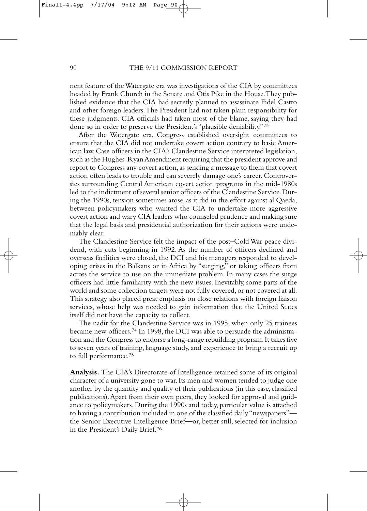nent feature of the Watergate era was investigations of the CIA by committees headed by Frank Church in the Senate and Otis Pike in the House.They published evidence that the CIA had secretly planned to assassinate Fidel Castro and other foreign leaders.The President had not taken plain responsibility for these judgments. CIA officials had taken most of the blame, saying they had done so in order to preserve the President's "plausible deniability."73

After the Watergate era, Congress established oversight committees to ensure that the CIA did not undertake covert action contrary to basic American law. Case officers in the CIA's Clandestine Service interpreted legislation, such as the Hughes-Ryan Amendment requiring that the president approve and report to Congress any covert action, as sending a message to them that covert action often leads to trouble and can severely damage one's career. Controversies surrounding Central American covert action programs in the mid-1980s led to the indictment of several senior officers of the Clandestine Service.During the 1990s, tension sometimes arose, as it did in the effort against al Qaeda, between policymakers who wanted the CIA to undertake more aggressive covert action and wary CIA leaders who counseled prudence and making sure that the legal basis and presidential authorization for their actions were undeniably clear.

The Clandestine Service felt the impact of the post–Cold War peace dividend, with cuts beginning in 1992. As the number of officers declined and overseas facilities were closed, the DCI and his managers responded to developing crises in the Balkans or in Africa by "surging," or taking officers from across the service to use on the immediate problem. In many cases the surge officers had little familiarity with the new issues. Inevitably, some parts of the world and some collection targets were not fully covered,or not covered at all. This strategy also placed great emphasis on close relations with foreign liaison services, whose help was needed to gain information that the United States itself did not have the capacity to collect.

The nadir for the Clandestine Service was in 1995, when only 25 trainees became new officers.74 In 1998, the DCI was able to persuade the administration and the Congress to endorse a long-range rebuilding program.It takes five to seven years of training, language study, and experience to bring a recruit up to full performance.75

**Analysis.** The CIA's Directorate of Intelligence retained some of its original character of a university gone to war.Its men and women tended to judge one another by the quantity and quality of their publications (in this case, classified publications).Apart from their own peers, they looked for approval and guidance to policymakers. During the 1990s and today, particular value is attached to having a contribution included in one of the classified daily "newspapers" the Senior Executive Intelligence Brief—or, better still, selected for inclusion in the President's Daily Brief.76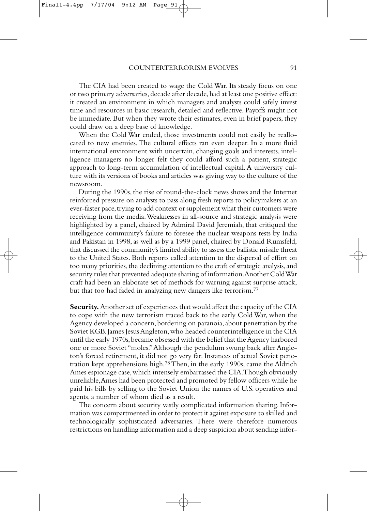The CIA had been created to wage the Cold War. Its steady focus on one or two primary adversaries, decade after decade, had at least one positive effect: it created an environment in which managers and analysts could safely invest time and resources in basic research, detailed and reflective. Payoffs might not be immediate. But when they wrote their estimates, even in brief papers, they could draw on a deep base of knowledge.

When the Cold War ended, those investments could not easily be reallocated to new enemies.The cultural effects ran even deeper. In a more fluid international environment with uncertain, changing goals and interests, intelligence managers no longer felt they could afford such a patient, strategic approach to long-term accumulation of intellectual capital. A university culture with its versions of books and articles was giving way to the culture of the newsroom.

During the 1990s, the rise of round-the-clock news shows and the Internet reinforced pressure on analysts to pass along fresh reports to policymakers at an ever-faster pace, trying to add context or supplement what their customers were receiving from the media.Weaknesses in all-source and strategic analysis were highlighted by a panel, chaired by Admiral David Jeremiah, that critiqued the intelligence community's failure to foresee the nuclear weapons tests by India and Pakistan in 1998, as well as by a 1999 panel, chaired by Donald Rumsfeld, that discussed the community's limited ability to assess the ballistic missile threat to the United States. Both reports called attention to the dispersal of effort on too many priorities, the declining attention to the craft of strategic analysis, and security rules that prevented adequate sharing of information.Another Cold War craft had been an elaborate set of methods for warning against surprise attack, but that too had faded in analyzing new dangers like terrorism.77

**Security.**Another set of experiences that would affect the capacity of the CIA to cope with the new terrorism traced back to the early Cold War, when the Agency developed a concern, bordering on paranoia, about penetration by the Soviet KGB.James Jesus Angleton,who headed counterintelligence in the CIA until the early 1970s,became obsessed with the belief that the Agency harbored one or more Soviet "moles."Although the pendulum swung back after Angleton's forced retirement, it did not go very far. Instances of actual Soviet penetration kept apprehensions high.78Then, in the early 1990s, came the Aldrich Ames espionage case, which intensely embarrassed the CIA. Though obviously unreliable,Ames had been protected and promoted by fellow officers while he paid his bills by selling to the Soviet Union the names of U.S. operatives and agents, a number of whom died as a result.

The concern about security vastly complicated information sharing. Information was compartmented in order to protect it against exposure to skilled and technologically sophisticated adversaries. There were therefore numerous restrictions on handling information and a deep suspicion about sending infor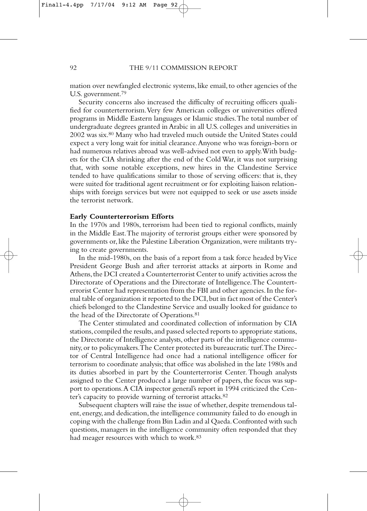mation over newfangled electronic systems, like email, to other agencies of the U.S. government.79

Security concerns also increased the difficulty of recruiting officers qualified for counterterrorism.Very few American colleges or universities offered programs in Middle Eastern languages or Islamic studies.The total number of undergraduate degrees granted in Arabic in all U.S. colleges and universities in 2002 was six.80 Many who had traveled much outside the United States could expect a very long wait for initial clearance.Anyone who was foreign-born or had numerous relatives abroad was well-advised not even to apply.With budgets for the CIA shrinking after the end of the Cold War, it was not surprising that, with some notable exceptions, new hires in the Clandestine Service tended to have qualifications similar to those of serving officers: that is, they were suited for traditional agent recruitment or for exploiting liaison relationships with foreign services but were not equipped to seek or use assets inside the terrorist network.

#### **Early Counterterrorism Efforts**

In the 1970s and 1980s, terrorism had been tied to regional conflicts, mainly in the Middle East.The majority of terrorist groups either were sponsored by governments or, like the Palestine Liberation Organization, were militants trying to create governments.

In the mid-1980s, on the basis of a report from a task force headed by Vice President George Bush and after terrorist attacks at airports in Rome and Athens,the DCI created a Counterterrorist Center to unify activities across the Directorate of Operations and the Directorate of Intelligence.The Counterterrorist Center had representation from the FBI and other agencies.In the formal table of organization it reported to the DCI, but in fact most of the Center's chiefs belonged to the Clandestine Service and usually looked for guidance to the head of the Directorate of Operations.81

The Center stimulated and coordinated collection of information by CIA stations, compiled the results, and passed selected reports to appropriate stations, the Directorate of Intelligence analysts, other parts of the intelligence community,or to policymakers.The Center protected its bureaucratic turf.The Director of Central Intelligence had once had a national intelligence officer for terrorism to coordinate analysis; that office was abolished in the late 1980s and its duties absorbed in part by the Counterterrorist Center. Though analysts assigned to the Center produced a large number of papers, the focus was support to operations.A CIA inspector general's report in 1994 criticized the Center's capacity to provide warning of terrorist attacks.<sup>82</sup>

Subsequent chapters will raise the issue of whether, despite tremendous talent, energy, and dedication, the intelligence community failed to do enough in coping with the challenge from Bin Ladin and al Qaeda.Confronted with such questions, managers in the intelligence community often responded that they had meager resources with which to work.<sup>83</sup>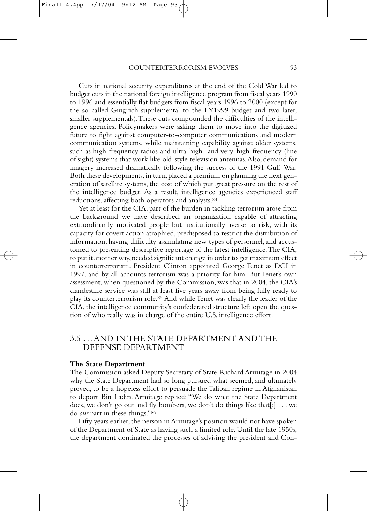Cuts in national security expenditures at the end of the Cold War led to budget cuts in the national foreign intelligence program from fiscal years 1990 to 1996 and essentially flat budgets from fiscal years 1996 to 2000 (except for the so-called Gingrich supplemental to the FY1999 budget and two later, smaller supplementals).These cuts compounded the difficulties of the intelligence agencies. Policymakers were asking them to move into the digitized future to fight against computer-to-computer communications and modern communication systems, while maintaining capability against older systems, such as high-frequency radios and ultra-high- and very-high-frequency (line of sight) systems that work like old-style television antennas.Also, demand for imagery increased dramatically following the success of the 1991 Gulf War. Both these developments, in turn, placed a premium on planning the next generation of satellite systems, the cost of which put great pressure on the rest of the intelligence budget. As a result, intelligence agencies experienced staff reductions, affecting both operators and analysts.84

Yet at least for the CIA, part of the burden in tackling terrorism arose from the background we have described: an organization capable of attracting extraordinarily motivated people but institutionally averse to risk, with its capacity for covert action atrophied, predisposed to restrict the distribution of information, having difficulty assimilating new types of personnel, and accustomed to presenting descriptive reportage of the latest intelligence.The CIA, to put it another way, needed significant change in order to get maximum effect in counterterrorism. President Clinton appointed George Tenet as DCI in 1997, and by all accounts terrorism was a priority for him. But Tenet's own assessment, when questioned by the Commission, was that in 2004, the CIA's clandestine service was still at least five years away from being fully ready to play its counterterrorism role.85 And while Tenet was clearly the leader of the CIA, the intelligence community's confederated structure left open the question of who really was in charge of the entire U.S. intelligence effort.

# 3.5 . . .AND IN THE STATE DEPARTMENT AND THE DEFENSE DEPARTMENT

#### **The State Department**

The Commission asked Deputy Secretary of State Richard Armitage in 2004 why the State Department had so long pursued what seemed, and ultimately proved, to be a hopeless effort to persuade the Taliban regime in Afghanistan to deport Bin Ladin. Armitage replied: "We do what the State Department does, we don't go out and fly bombers, we don't do things like that[;] . . . we do *our* part in these things."86

Fifty years earlier, the person in Armitage's position would not have spoken of the Department of State as having such a limited role. Until the late 1950s, the department dominated the processes of advising the president and Con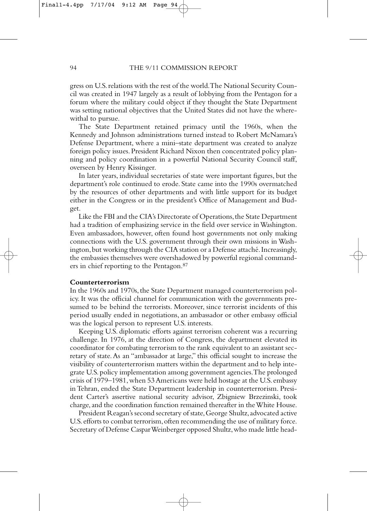gress on U.S.relations with the rest of the world.The National Security Council was created in 1947 largely as a result of lobbying from the Pentagon for a forum where the military could object if they thought the State Department was setting national objectives that the United States did not have the wherewithal to pursue.

The State Department retained primacy until the 1960s, when the Kennedy and Johnson administrations turned instead to Robert McNamara's Defense Department, where a mini–state department was created to analyze foreign policy issues. President Richard Nixon then concentrated policy planning and policy coordination in a powerful National Security Council staff, overseen by Henry Kissinger.

In later years, individual secretaries of state were important figures, but the department's role continued to erode. State came into the 1990s overmatched by the resources of other departments and with little support for its budget either in the Congress or in the president's Office of Management and Budget.

Like the FBI and the CIA's Directorate of Operations, the State Department had a tradition of emphasizing service in the field over service in Washington. Even ambassadors, however, often found host governments not only making connections with the U.S. government through their own missions in Washington, but working through the CIA station or a Defense attaché. Increasingly, the embassies themselves were overshadowed by powerful regional commanders in chief reporting to the Pentagon.87

#### **Counterterrorism**

In the 1960s and 1970s, the State Department managed counterterrorism policy. It was the official channel for communication with the governments presumed to be behind the terrorists. Moreover, since terrorist incidents of this period usually ended in negotiations, an ambassador or other embassy official was the logical person to represent U.S. interests.

Keeping U.S. diplomatic efforts against terrorism coherent was a recurring challenge. In 1976, at the direction of Congress, the department elevated its coordinator for combating terrorism to the rank equivalent to an assistant secretary of state.As an "ambassador at large," this official sought to increase the visibility of counterterrorism matters within the department and to help integrate U.S.policy implementation among government agencies.The prolonged crisis of 1979–1981,when 53 Americans were held hostage at the U.S.embassy in Tehran, ended the State Department leadership in counterterrorism. President Carter's assertive national security advisor, Zbigniew Brzezinski, took charge, and the coordination function remained thereafter in the White House.

President Reagan's second secretary of state, George Shultz, advocated active U.S. efforts to combat terrorism, often recommending the use of military force. Secretary of Defense Caspar Weinberger opposed Shultz, who made little head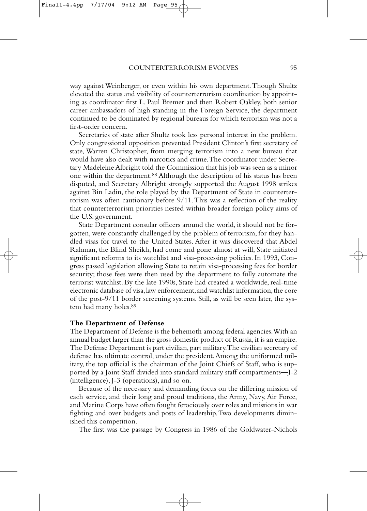way against Weinberger, or even within his own department.Though Shultz elevated the status and visibility of counterterrorism coordination by appointing as coordinator first L. Paul Bremer and then Robert Oakley, both senior career ambassadors of high standing in the Foreign Service, the department continued to be dominated by regional bureaus for which terrorism was not a first-order concern.

Secretaries of state after Shultz took less personal interest in the problem. Only congressional opposition prevented President Clinton's first secretary of state, Warren Christopher, from merging terrorism into a new bureau that would have also dealt with narcotics and crime.The coordinator under Secretary Madeleine Albright told the Commission that his job was seen as a minor one within the department.88 Although the description of his status has been disputed, and Secretary Albright strongly supported the August 1998 strikes against Bin Ladin, the role played by the Department of State in counterterrorism was often cautionary before 9/11.This was a reflection of the reality that counterterrorism priorities nested within broader foreign policy aims of the U.S. government.

State Department consular officers around the world, it should not be forgotten, were constantly challenged by the problem of terrorism, for they handled visas for travel to the United States. After it was discovered that Abdel Rahman, the Blind Sheikh, had come and gone almost at will, State initiated significant reforms to its watchlist and visa-processing policies. In 1993, Congress passed legislation allowing State to retain visa-processing fees for border security; those fees were then used by the department to fully automate the terrorist watchlist. By the late 1990s, State had created a worldwide, real-time electronic database of visa,law enforcement,and watchlist information,the core of the post-9/11 border screening systems. Still, as will be seen later, the system had many holes.89

#### **The Department of Defense**

The Department of Defense is the behemoth among federal agencies.With an annual budget larger than the gross domestic product of Russia, it is an empire. The Defense Department is part civilian, part military. The civilian secretary of defense has ultimate control, under the president.Among the uniformed military, the top official is the chairman of the Joint Chiefs of Staff, who is supported by a Joint Staff divided into standard military staff compartments—J-2 (intelligence), J-3 (operations), and so on.

Because of the necessary and demanding focus on the differing mission of each service, and their long and proud traditions, the Army, Navy, Air Force, and Marine Corps have often fought ferociously over roles and missions in war fighting and over budgets and posts of leadership.Two developments diminished this competition.

The first was the passage by Congress in 1986 of the Goldwater-Nichols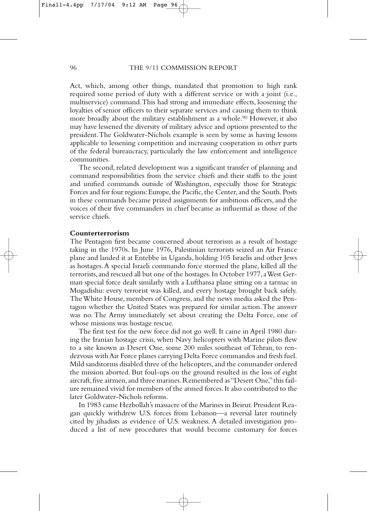Act, which, among other things, mandated that promotion to high rank required some period of duty with a different service or with a joint (i.e., multiservice) command.This had strong and immediate effects, loosening the loyalties of senior officers to their separate services and causing them to think more broadly about the military establishment as a whole.<sup>90</sup> However, it also may have lessened the diversity of military advice and options presented to the president.The Goldwater-Nichols example is seen by some as having lessons applicable to lessening competition and increasing cooperation in other parts of the federal bureaucracy, particularly the law enforcement and intelligence communities.

The second, related development was a significant transfer of planning and command responsibilities from the service chiefs and their staffs to the joint and unified commands outside of Washington, especially those for Strategic Forces and for four regions: Europe, the Pacific, the Center, and the South. Posts in these commands became prized assignments for ambitious officers, and the voices of their five commanders in chief became as influential as those of the service chiefs.

#### **Counterterrorism**

The Pentagon first became concerned about terrorism as a result of hostage taking in the 1970s. In June 1976, Palestinian terrorists seized an Air France plane and landed it at Entebbe in Uganda, holding 105 Israelis and other Jews as hostages.A special Israeli commando force stormed the plane, killed all the terrorists,and rescued all but one of the hostages.In October 1977,a West German special force dealt similarly with a Lufthansa plane sitting on a tarmac in Mogadishu: every terrorist was killed, and every hostage brought back safely. The White House, members of Congress, and the news media asked the Pentagon whether the United States was prepared for similar action.The answer was no. The Army immediately set about creating the Delta Force, one of whose missions was hostage rescue.

The first test for the new force did not go well. It came in April 1980 during the Iranian hostage crisis, when Navy helicopters with Marine pilots flew to a site known as Desert One, some 200 miles southeast of Tehran, to rendezvous with Air Force planes carrying Delta Force commandos and fresh fuel. Mild sandstorms disabled three of the helicopters, and the commander ordered the mission aborted. But foul-ups on the ground resulted in the loss of eight aircraft, five airmen, and three marines. Remembered as "Desert One," this failure remained vivid for members of the armed forces.It also contributed to the later Goldwater-Nichols reforms.

In 1983 came Hezbollah's massacre of the Marines in Beirut.President Reagan quickly withdrew U.S. forces from Lebanon—a reversal later routinely cited by jihadists as evidence of U.S. weakness. A detailed investigation produced a list of new procedures that would become customary for forces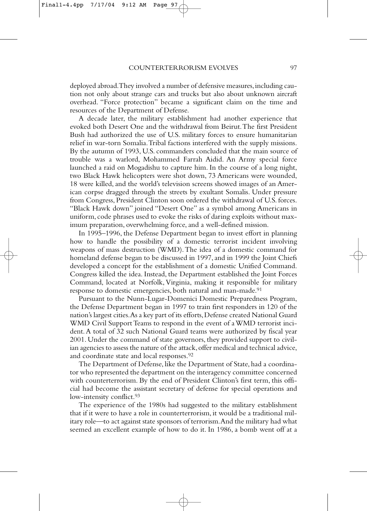deployed abroad. They involved a number of defensive measures, including caution not only about strange cars and trucks but also about unknown aircraft overhead. "Force protection" became a significant claim on the time and resources of the Department of Defense.

A decade later, the military establishment had another experience that evoked both Desert One and the withdrawal from Beirut.The first President Bush had authorized the use of U.S. military forces to ensure humanitarian relief in war-torn Somalia.Tribal factions interfered with the supply missions. By the autumn of 1993, U.S. commanders concluded that the main source of trouble was a warlord, Mohammed Farrah Aidid. An Army special force launched a raid on Mogadishu to capture him. In the course of a long night, two Black Hawk helicopters were shot down, 73 Americans were wounded, 18 were killed, and the world's television screens showed images of an American corpse dragged through the streets by exultant Somalis. Under pressure from Congress, President Clinton soon ordered the withdrawal of U.S. forces. "Black Hawk down" joined "Desert One" as a symbol among Americans in uniform, code phrases used to evoke the risks of daring exploits without maximum preparation, overwhelming force, and a well-defined mission.

In 1995–1996, the Defense Department began to invest effort in planning how to handle the possibility of a domestic terrorist incident involving weapons of mass destruction (WMD).The idea of a domestic command for homeland defense began to be discussed in 1997, and in 1999 the Joint Chiefs developed a concept for the establishment of a domestic Unified Command. Congress killed the idea. Instead, the Department established the Joint Forces Command, located at Norfolk, Virginia, making it responsible for military response to domestic emergencies, both natural and man-made.<sup>91</sup>

Pursuant to the Nunn-Lugar-Domenici Domestic Preparedness Program, the Defense Department began in 1997 to train first responders in 120 of the nation's largest cities.As a key part of its efforts,Defense created National Guard WMD Civil Support Teams to respond in the event of a WMD terrorist incident.A total of 32 such National Guard teams were authorized by fiscal year 2001. Under the command of state governors, they provided support to civilian agencies to assess the nature of the attack, offer medical and technical advice, and coordinate state and local responses.92

The Department of Defense, like the Department of State, had a coordinator who represented the department on the interagency committee concerned with counterterrorism. By the end of President Clinton's first term, this official had become the assistant secretary of defense for special operations and low-intensity conflict.<sup>93</sup>

The experience of the 1980s had suggested to the military establishment that if it were to have a role in counterterrorism, it would be a traditional military role—to act against state sponsors of terrorism.And the military had what seemed an excellent example of how to do it. In 1986, a bomb went off at a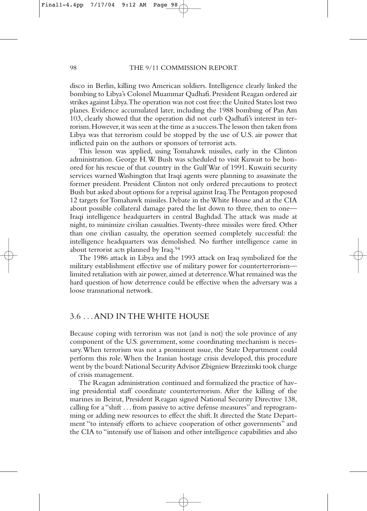disco in Berlin, killing two American soldiers. Intelligence clearly linked the bombing to Libya's Colonel Muammar Qadhafi. President Reagan ordered air strikes against Libya.The operation was not cost free:the United States lost two planes. Evidence accumulated later, including the 1988 bombing of Pan Am 103, clearly showed that the operation did not curb Qadhafi's interest in terrorism.However,it was seen at the time as a success.The lesson then taken from Libya was that terrorism could be stopped by the use of U.S. air power that inflicted pain on the authors or sponsors of terrorist acts.

This lesson was applied, using Tomahawk missiles, early in the Clinton administration. George H.W. Bush was scheduled to visit Kuwait to be honored for his rescue of that country in the Gulf War of 1991. Kuwaiti security services warned Washington that Iraqi agents were planning to assassinate the former president. President Clinton not only ordered precautions to protect Bush but asked about options for a reprisal against Iraq.The Pentagon proposed 12 targets for Tomahawk missiles. Debate in the White House and at the CIA about possible collateral damage pared the list down to three, then to one— Iraqi intelligence headquarters in central Baghdad. The attack was made at night, to minimize civilian casualties.Twenty-three missiles were fired. Other than one civilian casualty, the operation seemed completely successful: the intelligence headquarters was demolished. No further intelligence came in about terrorist acts planned by Iraq.<sup>94</sup>

The 1986 attack in Libya and the 1993 attack on Iraq symbolized for the military establishment effective use of military power for counterterrorism limited retaliation with air power, aimed at deterrence. What remained was the hard question of how deterrence could be effective when the adversary was a loose transnational network.

## 3.6 . . .AND IN THE WHITE HOUSE

Because coping with terrorism was not (and is not) the sole province of any component of the U.S. government, some coordinating mechanism is necessary.When terrorism was not a prominent issue, the State Department could perform this role.When the Iranian hostage crisis developed, this procedure went by the board:National Security Advisor Zbigniew Brzezinski took charge of crisis management.

The Reagan administration continued and formalized the practice of having presidential staff coordinate counterterrorism. After the killing of the marines in Beirut, President Reagan signed National Security Directive 138, calling for a "shift . . . from passive to active defense measures" and reprogramming or adding new resources to effect the shift. It directed the State Department "to intensify efforts to achieve cooperation of other governments" and the CIA to "intensify use of liaison and other intelligence capabilities and also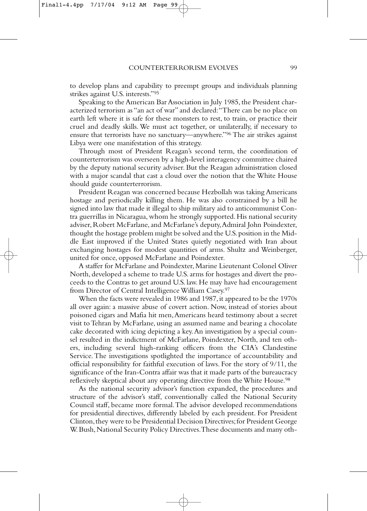to develop plans and capability to preempt groups and individuals planning strikes against U.S. interests."95

Speaking to the American Bar Association in July 1985, the President characterized terrorism as "an act of war" and declared:"There can be no place on earth left where it is safe for these monsters to rest, to train, or practice their cruel and deadly skills. We must act together, or unilaterally, if necessary to ensure that terrorists have no sanctuary—anywhere."96 The air strikes against Libya were one manifestation of this strategy.

Through most of President Reagan's second term, the coordination of counterterrorism was overseen by a high-level interagency committee chaired by the deputy national security adviser. But the Reagan administration closed with a major scandal that cast a cloud over the notion that the White House should guide counterterrorism.

President Reagan was concerned because Hezbollah was taking Americans hostage and periodically killing them. He was also constrained by a bill he signed into law that made it illegal to ship military aid to anticommunist Contra guerrillas in Nicaragua, whom he strongly supported. His national security adviser, Robert McFarlane, and McFarlane's deputy,Admiral John Poindexter, thought the hostage problem might be solved and the U.S. position in the Middle East improved if the United States quietly negotiated with Iran about exchanging hostages for modest quantities of arms. Shultz and Weinberger, united for once, opposed McFarlane and Poindexter.

A staffer for McFarlane and Poindexter, Marine Lieutenant Colonel Oliver North, developed a scheme to trade U.S. arms for hostages and divert the proceeds to the Contras to get around U.S. law. He may have had encouragement from Director of Central Intelligence William Casey.97

When the facts were revealed in 1986 and 1987, it appeared to be the 1970s all over again: a massive abuse of covert action. Now, instead of stories about poisoned cigars and Mafia hit men,Americans heard testimony about a secret visit to Tehran by McFarlane, using an assumed name and bearing a chocolate cake decorated with icing depicting a key.An investigation by a special counsel resulted in the indictment of McFarlane, Poindexter, North, and ten others, including several high-ranking officers from the CIA's Clandestine Service.The investigations spotlighted the importance of accountability and official responsibility for faithful execution of laws. For the story of 9/11, the significance of the Iran-Contra affair was that it made parts of the bureaucracy reflexively skeptical about any operating directive from the White House.<sup>98</sup>

As the national security advisor's function expanded, the procedures and structure of the advisor's staff, conventionally called the National Security Council staff, became more formal.The advisor developed recommendations for presidential directives, differently labeled by each president. For President Clinton, they were to be Presidential Decision Directives; for President George W. Bush, National Security Policy Directives. These documents and many oth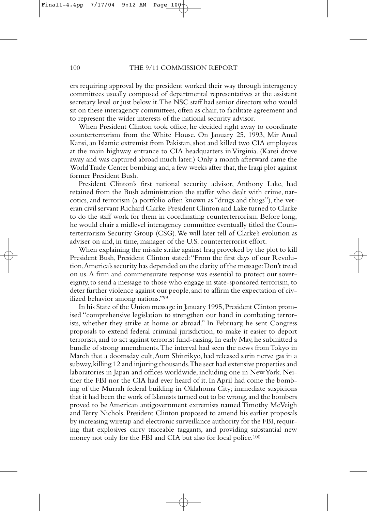ers requiring approval by the president worked their way through interagency committees usually composed of departmental representatives at the assistant secretary level or just below it.The NSC staff had senior directors who would sit on these interagency committees, often as chair, to facilitate agreement and to represent the wider interests of the national security advisor.

When President Clinton took office, he decided right away to coordinate counterterrorism from the White House. On January 25, 1993, Mir Amal Kansi, an Islamic extremist from Pakistan, shot and killed two CIA employees at the main highway entrance to CIA headquarters in Virginia. (Kansi drove away and was captured abroad much later.) Only a month afterward came the World Trade Center bombing and, a few weeks after that, the Iraqi plot against former President Bush.

President Clinton's first national security advisor, Anthony Lake, had retained from the Bush administration the staffer who dealt with crime, narcotics, and terrorism (a portfolio often known as "drugs and thugs"), the veteran civil servant Richard Clarke.President Clinton and Lake turned to Clarke to do the staff work for them in coordinating counterterrorism. Before long, he would chair a midlevel interagency committee eventually titled the Counterterrorism Security Group (CSG).We will later tell of Clarke's evolution as adviser on and, in time, manager of the U.S. counterterrorist effort.

When explaining the missile strike against Iraq provoked by the plot to kill President Bush, President Clinton stated:"From the first days of our Revolution,America's security has depended on the clarity of the message:Don't tread on us.A firm and commensurate response was essential to protect our sovereignty, to send a message to those who engage in state-sponsored terrorism, to deter further violence against our people, and to affirm the expectation of civilized behavior among nations."99

In his State of the Union message in January 1995, President Clinton promised "comprehensive legislation to strengthen our hand in combating terrorists, whether they strike at home or abroad." In February, he sent Congress proposals to extend federal criminal jurisdiction, to make it easier to deport terrorists, and to act against terrorist fund-raising. In early May, he submitted a bundle of strong amendments.The interval had seen the news from Tokyo in March that a doomsday cult,Aum Shinrikyo, had released sarin nerve gas in a subway,killing 12 and injuring thousands.The sect had extensive properties and laboratories in Japan and offices worldwide, including one in New York. Neither the FBI nor the CIA had ever heard of it. In April had come the bombing of the Murrah federal building in Oklahoma City; immediate suspicions that it had been the work of Islamists turned out to be wrong, and the bombers proved to be American antigovernment extremists named Timothy McVeigh and Terry Nichols. President Clinton proposed to amend his earlier proposals by increasing wiretap and electronic surveillance authority for the FBI, requiring that explosives carry traceable taggants, and providing substantial new money not only for the FBI and CIA but also for local police.100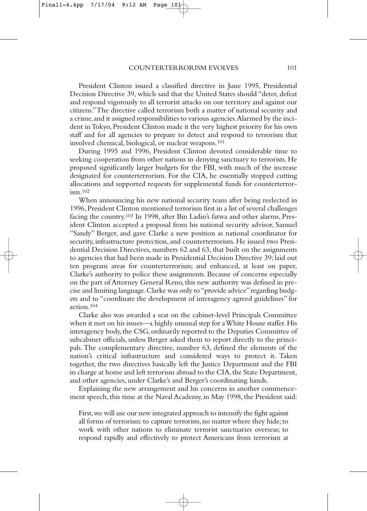President Clinton issued a classified directive in June 1995, Presidential Decision Directive 39, which said that the United States should "deter, defeat and respond vigorously to all terrorist attacks on our territory and against our citizens."The directive called terrorism both a matter of national security and a crime,and it assigned responsibilities to various agencies.Alarmed by the incident in Tokyo, President Clinton made it the very highest priority for his own staff and for all agencies to prepare to detect and respond to terrorism that involved chemical, biological, or nuclear weapons.101

During 1995 and 1996, President Clinton devoted considerable time to seeking cooperation from other nations in denying sanctuary to terrorists. He proposed significantly larger budgets for the FBI, with much of the increase designated for counterterrorism. For the CIA, he essentially stopped cutting allocations and supported requests for supplemental funds for counterterrorism.102

When announcing his new national security team after being reelected in 1996,President Clinton mentioned terrorism first in a list of several challenges facing the country.103 In 1998, after Bin Ladin's fatwa and other alarms, President Clinton accepted a proposal from his national security advisor, Samuel "Sandy" Berger, and gave Clarke a new position as national coordinator for security, infrastructure protection, and counterterrorism. He issued two Presidential Decision Directives, numbers 62 and 63, that built on the assignments to agencies that had been made in Presidential Decision Directive 39; laid out ten program areas for counterterrorism; and enhanced, at least on paper, Clarke's authority to police these assignments. Because of concerns especially on the part of Attorney General Reno, this new authority was defined in precise and limiting language.Clarke was only to "provide advice"regarding budgets and to "coordinate the development of interagency agreed guidelines" for action.104

Clarke also was awarded a seat on the cabinet-level Principals Committee when it met on his issues—a highly unusual step for a White House staffer. His interagency body, the CSG, ordinarily reported to the Deputies Committee of subcabinet officials, unless Berger asked them to report directly to the principals. The complementary directive, number 63, defined the elements of the nation's critical infrastructure and considered ways to protect it. Taken together, the two directives basically left the Justice Department and the FBI in charge at home and left terrorism abroad to the CIA, the State Department, and other agencies, under Clarke's and Berger's coordinating hands.

Explaining the new arrangement and his concerns in another commencement speech, this time at the Naval Academy, in May 1998, the President said:

First, we will use our new integrated approach to intensify the fight against all forms of terrorism: to capture terrorists, no matter where they hide; to work with other nations to eliminate terrorist sanctuaries overseas; to respond rapidly and effectively to protect Americans from terrorism at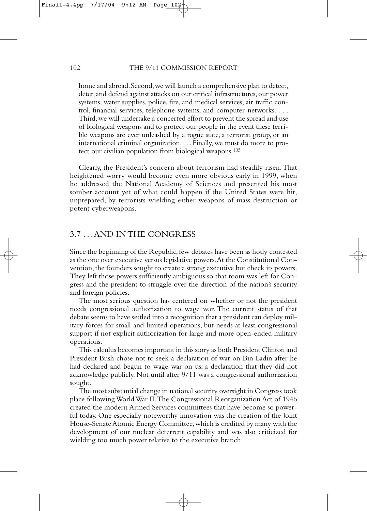home and abroad. Second, we will launch a comprehensive plan to detect, deter, and defend against attacks on our critical infrastructures, our power systems, water supplies, police, fire, and medical services, air traffic control, financial services, telephone systems, and computer networks. . . . Third, we will undertake a concerted effort to prevent the spread and use of biological weapons and to protect our people in the event these terrible weapons are ever unleashed by a rogue state, a terrorist group, or an international criminal organization. . . . Finally, we must do more to protect our civilian population from biological weapons.105

Clearly, the President's concern about terrorism had steadily risen.That heightened worry would become even more obvious early in 1999, when he addressed the National Academy of Sciences and presented his most somber account yet of what could happen if the United States were hit, unprepared, by terrorists wielding either weapons of mass destruction or potent cyberweapons.

## 3.7 . . .AND IN THE CONGRESS

Since the beginning of the Republic, few debates have been as hotly contested as the one over executive versus legislative powers.At the Constitutional Convention, the founders sought to create a strong executive but check its powers. They left those powers sufficiently ambiguous so that room was left for Congress and the president to struggle over the direction of the nation's security and foreign policies.

The most serious question has centered on whether or not the president needs congressional authorization to wage war. The current status of that debate seems to have settled into a recognition that a president can deploy military forces for small and limited operations, but needs at least congressional support if not explicit authorization for large and more open-ended military operations.

This calculus becomes important in this story as both President Clinton and President Bush chose not to seek a declaration of war on Bin Ladin after he had declared and begun to wage war on us, a declaration that they did not acknowledge publicly. Not until after 9/11 was a congressional authorization sought.

The most substantial change in national security oversight in Congress took place following World War II.The Congressional Reorganization Act of 1946 created the modern Armed Services committees that have become so powerful today. One especially noteworthy innovation was the creation of the Joint House-Senate Atomic Energy Committee,which is credited by many with the development of our nuclear deterrent capability and was also criticized for wielding too much power relative to the executive branch.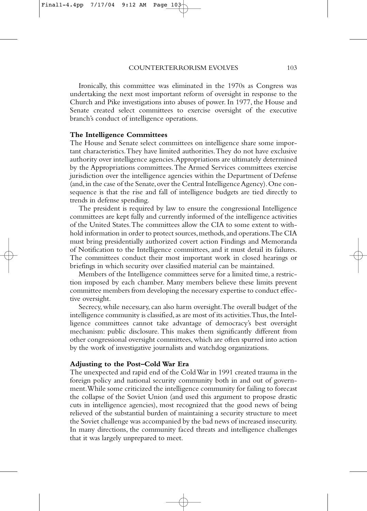Ironically, this committee was eliminated in the 1970s as Congress was undertaking the next most important reform of oversight in response to the Church and Pike investigations into abuses of power. In 1977, the House and Senate created select committees to exercise oversight of the executive branch's conduct of intelligence operations.

#### **The Intelligence Committees**

The House and Senate select committees on intelligence share some important characteristics.They have limited authorities.They do not have exclusive authority over intelligence agencies.Appropriations are ultimately determined by the Appropriations committees.The Armed Services committees exercise jurisdiction over the intelligence agencies within the Department of Defense (and, in the case of the Senate, over the Central Intelligence Agency). One consequence is that the rise and fall of intelligence budgets are tied directly to trends in defense spending.

The president is required by law to ensure the congressional Intelligence committees are kept fully and currently informed of the intelligence activities of the United States.The committees allow the CIA to some extent to withhold information in order to protect sources, methods, and operations. The CIA must bring presidentially authorized covert action Findings and Memoranda of Notification to the Intelligence committees, and it must detail its failures. The committees conduct their most important work in closed hearings or briefings in which security over classified material can be maintained.

Members of the Intelligence committees serve for a limited time, a restriction imposed by each chamber. Many members believe these limits prevent committee members from developing the necessary expertise to conduct effective oversight.

Secrecy, while necessary, can also harm oversight.The overall budget of the intelligence community is classified, as are most of its activities. Thus, the Intelligence committees cannot take advantage of democracy's best oversight mechanism: public disclosure. This makes them significantly different from other congressional oversight committees, which are often spurred into action by the work of investigative journalists and watchdog organizations.

#### **Adjusting to the Post–Cold War Era**

The unexpected and rapid end of the Cold War in 1991 created trauma in the foreign policy and national security community both in and out of government.While some criticized the intelligence community for failing to forecast the collapse of the Soviet Union (and used this argument to propose drastic cuts in intelligence agencies), most recognized that the good news of being relieved of the substantial burden of maintaining a security structure to meet the Soviet challenge was accompanied by the bad news of increased insecurity. In many directions, the community faced threats and intelligence challenges that it was largely unprepared to meet.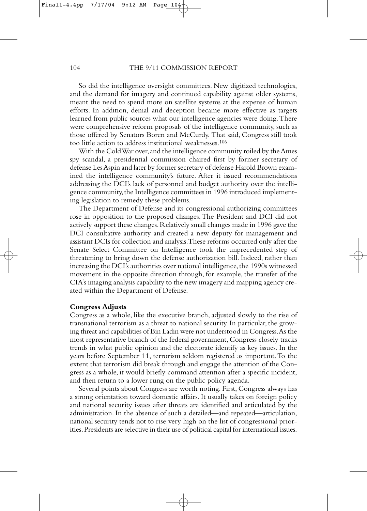So did the intelligence oversight committees. New digitized technologies, and the demand for imagery and continued capability against older systems, meant the need to spend more on satellite systems at the expense of human efforts. In addition, denial and deception became more effective as targets learned from public sources what our intelligence agencies were doing.There were comprehensive reform proposals of the intelligence community, such as those offered by Senators Boren and McCurdy. That said, Congress still took too little action to address institutional weaknesses.106

With the Cold War over, and the intelligence community roiled by the Ames spy scandal, a presidential commission chaired first by former secretary of defense Les Aspin and later by former secretary of defense Harold Brown examined the intelligence community's future. After it issued recommendations addressing the DCI's lack of personnel and budget authority over the intelligence community, the Intelligence committees in 1996 introduced implementing legislation to remedy these problems.

The Department of Defense and its congressional authorizing committees rose in opposition to the proposed changes.The President and DCI did not actively support these changes.Relatively small changes made in 1996 gave the DCI consultative authority and created a new deputy for management and assistant DCIs for collection and analysis.These reforms occurred only after the Senate Select Committee on Intelligence took the unprecedented step of threatening to bring down the defense authorization bill. Indeed, rather than increasing the DCI's authorities over national intelligence, the 1990s witnessed movement in the opposite direction through, for example, the transfer of the CIA's imaging analysis capability to the new imagery and mapping agency created within the Department of Defense.

#### **Congress Adjusts**

Congress as a whole, like the executive branch, adjusted slowly to the rise of transnational terrorism as a threat to national security. In particular, the growing threat and capabilities of Bin Ladin were not understood in Congress.As the most representative branch of the federal government, Congress closely tracks trends in what public opinion and the electorate identify as key issues. In the years before September 11, terrorism seldom registered as important.To the extent that terrorism did break through and engage the attention of the Congress as a whole, it would briefly command attention after a specific incident, and then return to a lower rung on the public policy agenda.

Several points about Congress are worth noting. First, Congress always has a strong orientation toward domestic affairs. It usually takes on foreign policy and national security issues after threats are identified and articulated by the administration. In the absence of such a detailed—and repeated—articulation, national security tends not to rise very high on the list of congressional priorities.Presidents are selective in their use of political capital for international issues.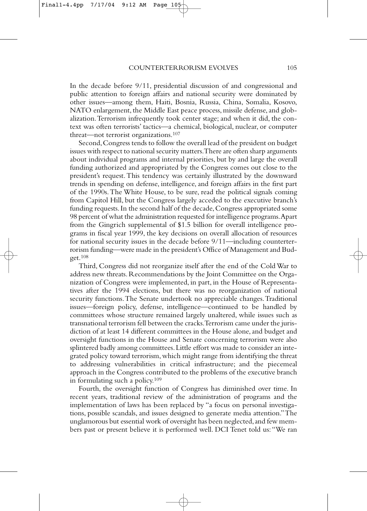In the decade before 9/11, presidential discussion of and congressional and public attention to foreign affairs and national security were dominated by other issues—among them, Haiti, Bosnia, Russia, China, Somalia, Kosovo, NATO enlargement, the Middle East peace process, missile defense, and globalization.Terrorism infrequently took center stage; and when it did, the context was often terrorists' tactics—a chemical, biological, nuclear, or computer threat—not terrorist organizations.107

Second, Congress tends to follow the overall lead of the president on budget issues with respect to national security matters.There are often sharp arguments about individual programs and internal priorities, but by and large the overall funding authorized and appropriated by the Congress comes out close to the president's request.This tendency was certainly illustrated by the downward trends in spending on defense, intelligence, and foreign affairs in the first part of the 1990s.The White House, to be sure, read the political signals coming from Capitol Hill, but the Congress largely acceded to the executive branch's funding requests. In the second half of the decade, Congress appropriated some 98 percent of what the administration requested for intelligence programs.Apart from the Gingrich supplemental of \$1.5 billion for overall intelligence programs in fiscal year 1999, the key decisions on overall allocation of resources for national security issues in the decade before 9/11—including counterterrorism funding—were made in the president's Office of Management and Budget.108

Third, Congress did not reorganize itself after the end of the Cold War to address new threats. Recommendations by the Joint Committee on the Organization of Congress were implemented, in part, in the House of Representatives after the 1994 elections, but there was no reorganization of national security functions.The Senate undertook no appreciable changes.Traditional issues—foreign policy, defense, intelligence—continued to be handled by committees whose structure remained largely unaltered, while issues such as transnational terrorism fell between the cracks.Terrorism came under the jurisdiction of at least 14 different committees in the House alone, and budget and oversight functions in the House and Senate concerning terrorism were also splintered badly among committees.Little effort was made to consider an integrated policy toward terrorism, which might range from identifying the threat to addressing vulnerabilities in critical infrastructure; and the piecemeal approach in the Congress contributed to the problems of the executive branch in formulating such a policy.109

Fourth, the oversight function of Congress has diminished over time. In recent years, traditional review of the administration of programs and the implementation of laws has been replaced by "a focus on personal investigations, possible scandals, and issues designed to generate media attention."The unglamorous but essential work of oversight has been neglected, and few members past or present believe it is performed well. DCI Tenet told us:"We ran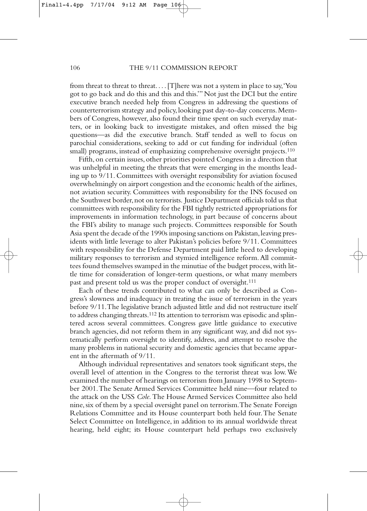from threat to threat to threat. ...[T]here was not a system in place to say,'You got to go back and do this and this and this.'" Not just the DCI but the entire executive branch needed help from Congress in addressing the questions of counterterrorism strategy and policy,looking past day-to-day concerns.Members of Congress, however, also found their time spent on such everyday matters, or in looking back to investigate mistakes, and often missed the big questions—as did the executive branch. Staff tended as well to focus on parochial considerations, seeking to add or cut funding for individual (often small) programs, instead of emphasizing comprehensive oversight projects.<sup>110</sup>

Fifth, on certain issues, other priorities pointed Congress in a direction that was unhelpful in meeting the threats that were emerging in the months leading up to 9/11. Committees with oversight responsibility for aviation focused overwhelmingly on airport congestion and the economic health of the airlines, not aviation security. Committees with responsibility for the INS focused on the Southwest border, not on terrorists. Justice Department officials told us that committees with responsibility for the FBI tightly restricted appropriations for improvements in information technology, in part because of concerns about the FBI's ability to manage such projects. Committees responsible for South Asia spent the decade of the 1990s imposing sanctions on Pakistan,leaving presidents with little leverage to alter Pakistan's policies before 9/11. Committees with responsibility for the Defense Department paid little heed to developing military responses to terrorism and stymied intelligence reform.All committees found themselves swamped in the minutiae of the budget process,with little time for consideration of longer-term questions, or what many members past and present told us was the proper conduct of oversight.111

Each of these trends contributed to what can only be described as Congress's slowness and inadequacy in treating the issue of terrorism in the years before 9/11.The legislative branch adjusted little and did not restructure itself to address changing threats.112 Its attention to terrorism was episodic and splintered across several committees. Congress gave little guidance to executive branch agencies, did not reform them in any significant way, and did not systematically perform oversight to identify, address, and attempt to resolve the many problems in national security and domestic agencies that became apparent in the aftermath of 9/11.

Although individual representatives and senators took significant steps, the overall level of attention in the Congress to the terrorist threat was low.We examined the number of hearings on terrorism from January 1998 to September 2001.The Senate Armed Services Committee held nine—four related to the attack on the USS *Cole.*The House Armed Services Committee also held nine, six of them by a special oversight panel on terrorism.The Senate Foreign Relations Committee and its House counterpart both held four.The Senate Select Committee on Intelligence, in addition to its annual worldwide threat hearing, held eight; its House counterpart held perhaps two exclusively